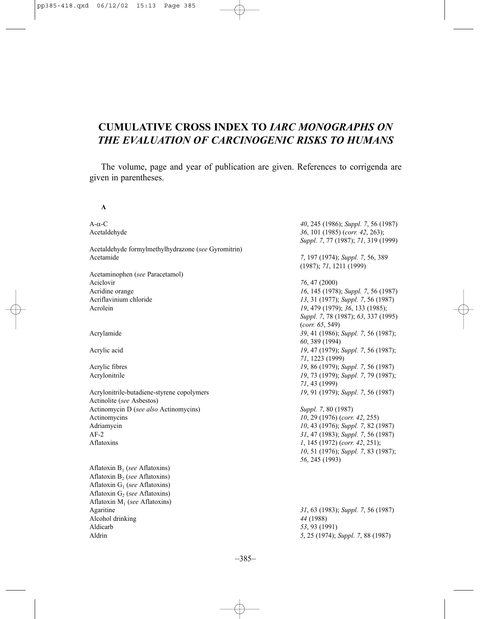# **CUMULATIVE CROSS INDEX TO** *IARC MONOGRAPHS ON THE EVALUATION OF CARCINOGENIC RISKS TO HUMANS*

The volume, page and year of publication are given. References to corrigenda are given in parentheses.

**A**

A-α-C *40*, 245 (1986); *Suppl. 7*, 56 (1987) Acetaldehyde *36*, 101 (1985) (*corr. 42*, 263); *Suppl. 7*, 77 (1987); *71*, 319 (1999) Acetaldehyde formylmethylhydrazone (*see* Gyromitrin) Acetamide *7*, 197 (1974); *Suppl. 7*, 56, 389 (1987); *71*, 1211 (1999) Acetaminophen (*see* Paracetamol) Aciclovir *76*, 47 (2000) Acridine orange *16*, 145 (1978); *Suppl. 7*, 56 (1987) Acriflavinium chloride *13*, 31 (1977); *Suppl. 7*, 56 (1987) Acrolein *19*, 479 (1979); *36*, 133 (1985); *Suppl. 7*, 78 (1987); *63*, 337 (1995) (*corr. 65*, 549) Acrylamide *39*, 41 (1986); *Suppl. 7*, 56 (1987); *60*, 389 (1994) Acrylic acid *19*, 47 (1979); *Suppl. 7*, 56 (1987); *71*, 1223 (1999) Acrylic fibres *19*, 86 (1979); *Suppl. 7*, 56 (1987) Acrylonitrile *19*, 73 (1979); *Suppl. 7*, 79 (1987); *71*, 43 (1999) Acrylonitrile-butadiene-styrene copolymers *19*, 91 (1979); *Suppl. 7*, 56 (1987) Actinolite (*see* Asbestos) Actinomycin D (*see also* Actinomycins) *Suppl. 7*, 80 (1987) Actinomycins *10*, 29 (1976) (*corr. 42*, 255) Adriamycin *10, 43* (1976); *Suppl. 7, 82* (1987)<br>AF-2 *31, 47* (1983): *Suppl. 7, 56* (1987) AF-2 *31*, 47 (1983); *Suppl. 7*, 56 (1987) Aflatoxins *1*, 145 (1972) (*corr. 42*, 251); *10*, 51 (1976); *Suppl. 7*, 83 (1987); *56*, 245 (1993) Aflatoxin B1 (*see* Aflatoxins) Aflatoxin B<sub>2</sub> (*see* Aflatoxins) Aflatoxin G1 (*see* Aflatoxins) Aflatoxin G<sub>2</sub> (*see* Aflatoxins) Aflatoxin M<sub>1</sub> (*see* Aflatoxins)<br>Agaritine Agaritine *31*, 63 (1983); *Suppl. 7*, 56 (1987) Alcohol drinking *44* (1988)

Aldrin *5*, 25 (1974); *Suppl. 7*, 88 (1987)

Aldicarb *53*, 93 (1991)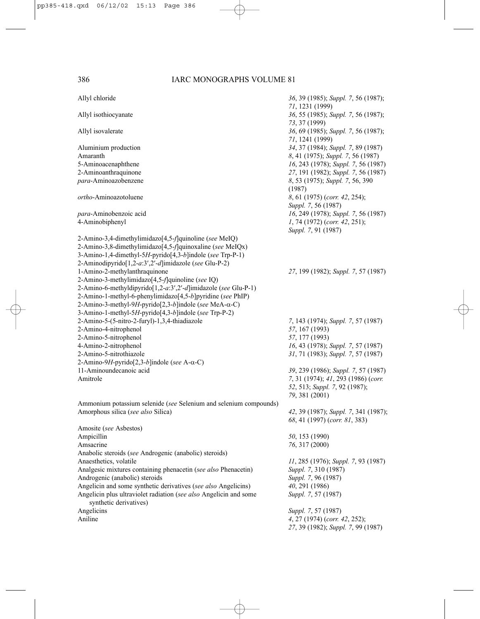| Allyl chloride                                                                              | 36, 39 (1985); Suppl. 7, 56 (1987);<br>71, 1231 (1999) |
|---------------------------------------------------------------------------------------------|--------------------------------------------------------|
| Allyl isothiocyanate                                                                        | 36, 55 (1985); Suppl. 7, 56 (1987);<br>73, 37 (1999)   |
| Allyl isovalerate                                                                           | 36, 69 (1985); Suppl. 7, 56 (1987);<br>71, 1241 (1999) |
| Aluminium production                                                                        | 34, 37 (1984); Suppl. 7, 89 (1987)                     |
| Amaranth                                                                                    | 8, 41 (1975); Suppl. 7, 56 (1987)                      |
| 5-Aminoacenaphthene                                                                         | 16, 243 (1978); Suppl. 7, 56 (1987)                    |
| 2-Aminoanthraquinone                                                                        | 27, 191 (1982); Suppl. 7, 56 (1987)                    |
| para-Aminoazobenzene                                                                        | 8, 53 (1975); Suppl. 7, 56, 390<br>(1987)              |
| <i>ortho</i> -Aminoazotoluene                                                               | 8, 61 (1975) (corr. 42, 254);<br>Suppl. 7, 56 (1987)   |
| para-Aminobenzoic acid                                                                      | 16, 249 (1978); Suppl. 7, 56 (1987)                    |
| 4-Aminobiphenyl                                                                             | 1, 74 (1972) (corr. 42, 251);<br>Suppl. 7, 91 (1987)   |
| 2-Amino-3,4-dimethylimidazo[4,5-f]quinoline (see MeIQ)                                      |                                                        |
| 2-Amino-3,8-dimethylimidazo[4,5-f]quinoxaline (see MeIQx)                                   |                                                        |
| 3-Amino-1,4-dimethyl-5H-pyrido[4,3-b]indole (see Trp-P-1)                                   |                                                        |
| 2-Aminodipyrido[1,2-a:3',2'-d]imidazole (see Glu-P-2)                                       |                                                        |
| 1-Amino-2-methylanthraquinone                                                               | 27, 199 (1982); Suppl. 7, 57 (1987)                    |
| 2-Amino-3-methylimidazo[4,5-f]quinoline (see IQ)                                            |                                                        |
| 2-Amino-6-methyldipyrido[1,2-a:3',2'-d]imidazole (see Glu-P-1)                              |                                                        |
| 2-Amino-1-methyl-6-phenylimidazo[4,5-b]pyridine (see PhIP)                                  |                                                        |
| 2-Amino-3-methyl-9H-pyrido[2,3-b]indole (see MeA-α-C)                                       |                                                        |
| 3-Amino-1-methyl-5H-pyrido[4,3-b]indole (see Trp-P-2)                                       |                                                        |
| 2-Amino-5-(5-nitro-2-furyl)-1,3,4-thiadiazole                                               | 7, 143 (1974); Suppl. 7, 57 (1987)                     |
| 2-Amino-4-nitrophenol                                                                       | 57, 167 (1993)                                         |
| 2-Amino-5-nitrophenol                                                                       | 57, 177 (1993)                                         |
| 4-Amino-2-nitrophenol                                                                       | 16, 43 (1978); Suppl. 7, 57 (1987)                     |
| 2-Amino-5-nitrothiazole                                                                     | 31, 71 (1983); Suppl. 7, 57 (1987)                     |
| 2-Amino-9H-pyrido[2,3-b]indole (see A-α-C)                                                  |                                                        |
| 11-Aminoundecanoic acid                                                                     | 39, 239 (1986); Suppl. 7, 57 (1987)                    |
| Amitrole                                                                                    | 7, 31 (1974); 41, 293 (1986) (corr.                    |
|                                                                                             | 52, 513; Suppl. 7, 92 (1987);                          |
|                                                                                             | 79, 381 (2001)                                         |
| Ammonium potassium selenide (see Selenium and selenium compounds)                           |                                                        |
| Amorphous silica (see also Silica)                                                          | 42, 39 (1987); Suppl. 7, 341 (1987);                   |
|                                                                                             | 68, 41 (1997) (corr. 81, 383)                          |
| Amosite (see Asbestos)                                                                      |                                                        |
| Ampicillin                                                                                  | 50, 153 (1990)                                         |
| Amsacrine                                                                                   | 76, 317 (2000)                                         |
| Anabolic steroids (see Androgenic (anabolic) steroids)                                      |                                                        |
| Anaesthetics, volatile                                                                      | 11, 285 (1976); Suppl. 7, 93 (1987)                    |
| Analgesic mixtures containing phenacetin (see also Phenacetin)                              | Suppl. 7, 310 (1987)                                   |
| Androgenic (anabolic) steroids                                                              | Suppl. 7, 96 (1987)                                    |
| Angelicin and some synthetic derivatives (see also Angelicins)                              | 40, 291 (1986)                                         |
| Angelicin plus ultraviolet radiation (see also Angelicin and some<br>synthetic derivatives) | Suppl. 7, 57 (1987)                                    |
| Angelicins                                                                                  | Suppl. 7, 57 (1987)                                    |
| Aniline                                                                                     | 4, 27 (1974) (corr. 42, 252);                          |
|                                                                                             | 27, 39 (1982); Suppl. 7, 99 (1987)                     |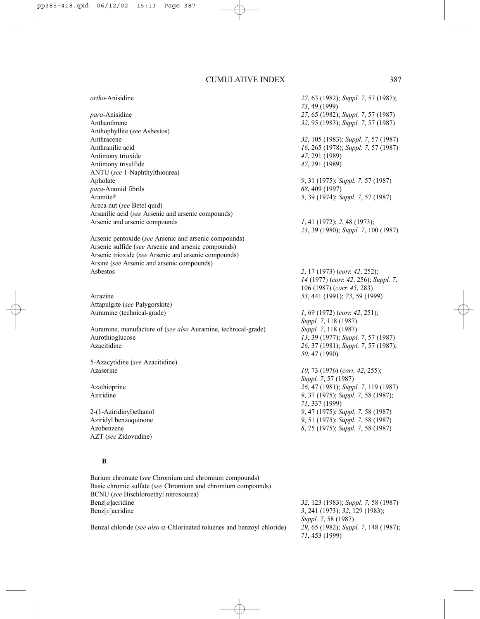*ortho*-Anisidine *27*, 63 (1982); *Suppl. 7*, 57 (1987);

*para*-Anisidine *27*, 65 (1982); *Suppl. 7*, 57 (1987) Anthanthrene *32*, 95 (1983); *Suppl. 7*, 57 (1987) Anthophyllite (*see* Asbestos) Anthracene *32*, 105 (1983); *Suppl. 7*, 57 (1987) Anthranilic acid *16*, 265 (1978); *Suppl. 7*, 57 (1987) Antimony trioxide *47*, 291 (1989) Antimony trisulfide *47*, 291 (1989) ANTU (*see* 1-Naphthylthiourea) Apholate *9*, 31 (1975); *Suppl. 7*, 57 (1987) *para*-Aramid fibrils *68*, 409 (1997) Aramite *5*, 39 (1974); *Suppl. 7*, 57 (1987) Areca nut (*see* Betel quid) Arsanilic acid (*see* Arsenic and arsenic compounds) Arsenic and arsenic compounds *1*, 41 (1972); *2*, 48 (1973);

Arsenic pentoxide (*see* Arsenic and arsenic compounds) Arsenic sulfide (*see* Arsenic and arsenic compounds) Arsenic trioxide (*see* Arsenic and arsenic compounds) Arsine (*see* Arsenic and arsenic compounds) Asbestos *2*, 17 (1973) (*corr. 42*, 252);

Attapulgite (*see* Palygorskite) Auramine (technical-grade) *1*, 69 (1972) (*corr. 42*, 251);

Auramine, manufacture of (*see also* Auramine, technical-grade) *Suppl. 7*, 118 (1987) Aurothioglucose *13*, 39 (1977); *Suppl. 7*, 57 (1987) Azacitidine *26*, 37 (1981); *Suppl. 7*, 57 (1987);

5-Azacytidine (*see* Azacitidine) Azaserine *10*, 73 (1976) (*corr. 42*, 255);

Aziridyl benzoquinone *9*, 51 (1975); *Suppl. 7*, 58 (1987) AZT (*see* Zidovudine)

### **B**

Barium chromate (*see* Chromium and chromium compounds) Basic chromic sulfate (*see* Chromium and chromium compounds) BCNU (*see* Bischloroethyl nitrosourea) Benz[*a*]acridine *32*, 123 (1983); *Suppl. 7*, 58 (1987) Benz[*c*]acridine *3*, 241 (1973); *32*, 129 (1983);

Benzal chloride (*see also* α*-*Chlorinated toluenes and benzoyl chloride) *29*, 65 (1982); *Suppl. 7*, 148 (1987);

*23*, 39 (1980); *Suppl. 7*, 100 (1987) *14* (1977) (*corr. 42*, 256); *Suppl. 7*, 106 (1987) (*corr. 45*, 283) Atrazine *53*, 441 (1991); *73*, 59 (1999) *Suppl. 7*, 118 (1987)

*73*, 49 (1999)

*50*, 47 (1990) *Suppl. 7*, 57 (1987) Azathioprine *26*, 47 (1981); *Suppl. 7*, 119 (1987) Aziridine *9*, 37 (1975); *Suppl. 7*, 58 (1987); *71*, 337 (1999) 2-(1-Aziridinyl)ethanol *9*, 47 (1975); *Suppl. 7*, 58 (1987)

Azobenzene *8*, 75 (1975); *Suppl. 7*, 58 (1987)

*Suppl. 7*, 58 (1987) *71*, 453 (1999)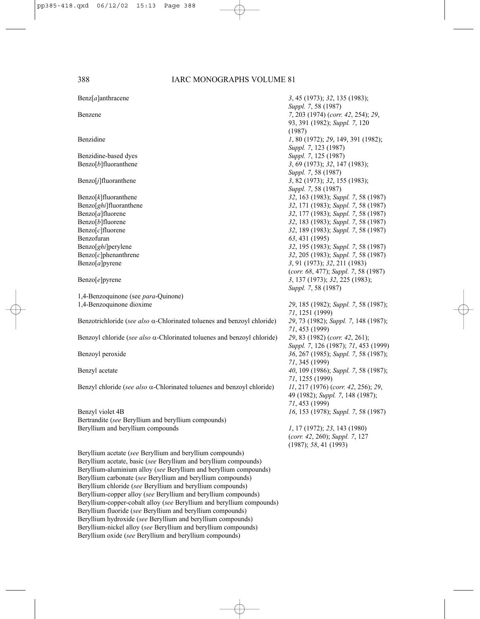| $\text{Benz}[a]$ anthracene                                                     | 3, 45 (1973); 32, 135 (1983);                                                              |
|---------------------------------------------------------------------------------|--------------------------------------------------------------------------------------------|
| Benzene                                                                         | Suppl. 7, 58 (1987)<br>7, 203 (1974) (corr. 42, 254); 29,<br>93, 391 (1982); Suppl. 7, 120 |
|                                                                                 | (1987)                                                                                     |
| Benzidine                                                                       | 1, 80 (1972); 29, 149, 391 (1982);<br>Suppl. 7, 123 (1987)                                 |
| Benzidine-based dyes                                                            | Suppl. 7, 125 (1987)                                                                       |
| $Benzo[b]$ fluoranthene                                                         | 3, 69 (1973); 32, 147 (1983);                                                              |
|                                                                                 | Suppl. 7, 58 (1987)                                                                        |
| $\text{Benzo}[j]$ fluoranthene                                                  | 3, 82 (1973); 32, 155 (1983);                                                              |
|                                                                                 | Suppl. 7, 58 (1987)                                                                        |
| $\text{Benzo}[k]$ fluoranthene                                                  | 32, 163 (1983); Suppl. 7, 58 (1987)                                                        |
| Benzo[ghi]fluoranthene                                                          | 32, 171 (1983); Suppl. 7, 58 (1987)                                                        |
| $Benzo[a]$ fluorene                                                             | 32, 177 (1983); Suppl. 7, 58 (1987)                                                        |
| $\text{Benzo}[b]$ fluorene                                                      | 32, 183 (1983); Suppl. 7, 58 (1987)                                                        |
| $\text{Benzo}[c]$ fluorene                                                      | 32, 189 (1983); Suppl. 7, 58 (1987)                                                        |
| Benzofuran                                                                      | 63, 431 (1995)                                                                             |
| Benzo[ghi]perylene                                                              | 32, 195 (1983); Suppl. 7, 58 (1987)                                                        |
| $\text{Benzo}[c]$ phenanthrene                                                  | 32, 205 (1983); Suppl. 7, 58 (1987)                                                        |
| Benzo $[a]$ pyrene                                                              | 3, 91 (1973); 32, 211 (1983)                                                               |
|                                                                                 | (corr. 68, 477); Suppl. 7, 58 (1987)                                                       |
| Benzo[e]pyrene                                                                  | 3, 137 (1973); 32, 225 (1983);                                                             |
|                                                                                 | Suppl. 7, 58 (1987)                                                                        |
| 1,4-Benzoquinone (see para-Quinone)                                             |                                                                                            |
| 1,4-Benzoquinone dioxime                                                        | 29, 185 (1982); Suppl. 7, 58 (1987);                                                       |
|                                                                                 | 71, 1251 (1999)                                                                            |
| Benzotrichloride (see also $\alpha$ -Chlorinated toluenes and benzoyl chloride) | 29, 73 (1982); Suppl. 7, 148 (1987);                                                       |
|                                                                                 | 71, 453 (1999)                                                                             |
| Benzoyl chloride (see also $\alpha$ -Chlorinated toluenes and benzoyl chloride) | 29, 83 (1982) (corr. 42, 261);                                                             |
|                                                                                 | Suppl. 7, 126 (1987); 71, 453 (1999)                                                       |
| Benzoyl peroxide                                                                | 36, 267 (1985); Suppl. 7, 58 (1987);                                                       |
|                                                                                 | 71, 345 (1999)                                                                             |
| Benzyl acetate                                                                  | 40, 109 (1986); Suppl. 7, 58 (1987);                                                       |
|                                                                                 | 71, 1255 (1999)                                                                            |
| Benzyl chloride (see also $\alpha$ -Chlorinated toluenes and benzoyl chloride)  | 11, 217 (1976) (corr. 42, 256); 29,                                                        |
|                                                                                 | 49 (1982); Suppl. 7, 148 (1987);                                                           |
|                                                                                 | 71, 453 (1999)                                                                             |
| Benzyl violet 4B                                                                | 16, 153 (1978); Suppl. 7, 58 (1987)                                                        |
| Bertrandite (see Beryllium and beryllium compounds)                             |                                                                                            |
| Beryllium and beryllium compounds                                               | 1, 17 (1972); 23, 143 (1980)                                                               |
|                                                                                 | (corr. 42, 260); Suppl. 7, 127<br>(1987); 58, 41 (1993)                                    |
| Beryllium acetate (see Beryllium and beryllium compounds)                       |                                                                                            |
| Beryllium acetate, basic (see Beryllium and beryllium compounds)                |                                                                                            |
| Beryllium-aluminium alloy (see Beryllium and beryllium compounds)               |                                                                                            |
| Beryllium carbonate (see Beryllium and beryllium compounds)                     |                                                                                            |
| Beryllium chloride (see Beryllium and beryllium compounds)                      |                                                                                            |
| Beryllium-copper alloy (see Beryllium and beryllium compounds)                  |                                                                                            |
| Beryllium-copper-cobalt alloy (see Beryllium and beryllium compounds)           |                                                                                            |
| Beryllium fluoride (see Beryllium and beryllium compounds)                      |                                                                                            |
| Beryllium hydroxide (see Beryllium and beryllium compounds)                     |                                                                                            |
| Beryllium-nickel alloy (see Beryllium and beryllium compounds)                  |                                                                                            |
| Beryllium oxide (see Beryllium and beryllium compounds)                         |                                                                                            |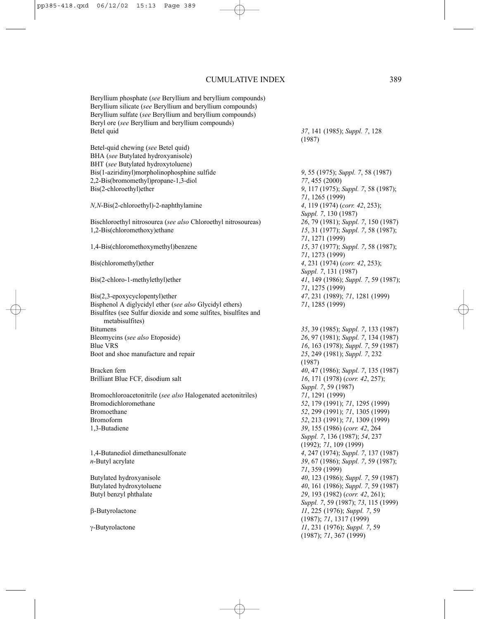Beryllium phosphate (*see* Beryllium and beryllium compounds) Beryllium silicate (*see* Beryllium and beryllium compounds) Beryllium sulfate (*see* Beryllium and beryllium compounds) Beryl ore (*see* Beryllium and beryllium compounds) Betel quid *37*, 141 (1985); *Suppl. 7*, 128

Betel-quid chewing (*see* Betel quid) BHA (*see* Butylated hydroxyanisole) BHT (*see* Butylated hydroxytoluene) Bis(1-aziridinyl)morpholinophosphine sulfide *9*, 55 (1975); *Suppl. 7*, 58 (1987) 2,2-Bis(bromomethyl)propane-1,3-diol *77*, 455 (2000) Bis(2-chloroethyl)ether *9*, 117 (1975); *Suppl. 7*, 58 (1987);

*N,N*-Bis(2-chloroethyl)-2-naphthylamine *4*, 119 (1974) (*corr. 42*, 253);

Bischloroethyl nitrosourea (*see also* Chloroethyl nitrosoureas) *26*, 79 (1981); *Suppl. 7*, 150 (1987)

Bis(2,3-epoxycyclopentyl)ether *47*, 231 (1989); *71*, 1281 (1999) Bisphenol A diglycidyl ether (*see also* Glycidyl ethers) *71*, 1285 (1999) Bisulfites (see Sulfur dioxide and some sulfites, bisulfites and metabisulfites) Bitumens *35*, 39 (1985); *Suppl. 7*, 133 (1987) Bleomycins (*see also* Etoposide) *26*, 97 (1981); *Suppl. 7*, 134 (1987) Blue VRS<br>Boot and shoe manufacture and repair<br>Boot and shoe manufacture and repair<br> $25, 249$  (1981); *Suppl.* 7, 232 Boot and shoe manufacture and repair

Brilliant Blue FCF, disodium salt *16*, 171 (1978) (*corr. 42*, 257);

Bromochloroacetonitrile (*see also* Halogenated acetonitriles) *71*, 1291 (1999) Bromodichloromethane *52*, 179 (1991); *71*, 1295 (1999) Bromoethane *52*, 299 (1991); *71*, 1305 (1999) Bromoform *52*, 213 (1991); *71*, 1309 (1999) 1,3-Butadiene *39*, 155 (1986) (*corr. 42*, 264

(1987)

*71*, 1265 (1999) *Suppl. 7*, 130 (1987) 15, 31 (1977); *Suppl.* 7, 58 (1987); *71*, 1271 (1999) 1,4-Bis(chloromethoxymethyl)benzene *15*, 37 (1977); *Suppl. 7*, 58 (1987); *71*, 1273 (1999) Bis(chloromethyl)ether *4*, 231 (1974) (*corr. 42*, 253); *Suppl. 7*, 131 (1987) Bis(2-chloro-1-methylethyl)ether *41*, 149 (1986); *Suppl. 7*, 59 (1987); *71*, 1275 (1999)

(1987) Bracken fern *40*, 47 (1986); *Suppl. 7*, 135 (1987) *Suppl. 7*, 59 (1987) *Suppl. 7*, 136 (1987); *54*, 237 (1992); *71*, 109 (1999) 1,4-Butanediol dimethanesulfonate *4*, 247 (1974); *Suppl. 7*, 137 (1987) *n*-Butyl acrylate *39*, 67 (1986); *Suppl. 7*, 59 (1987); *71*, 359 (1999) Butylated hydroxyanisole *40*, 123 (1986); *Suppl. 7*, 59 (1987) Butylated hydroxytoluene *40*, 161 (1986); *Suppl. 7*, 59 (1987) Butyl benzyl phthalate *29*, 193 (1982) (*corr. 42*, 261); *Suppl. 7*, 59 (1987); *73*, 115 (1999) β-Butyrolactone *11*, 225 (1976); *Suppl. 7*, 59 (1987); *71*, 1317 (1999) γ-Butyrolactone *11*, 231 (1976); *Suppl. 7*, 59 (1987); *71*, 367 (1999)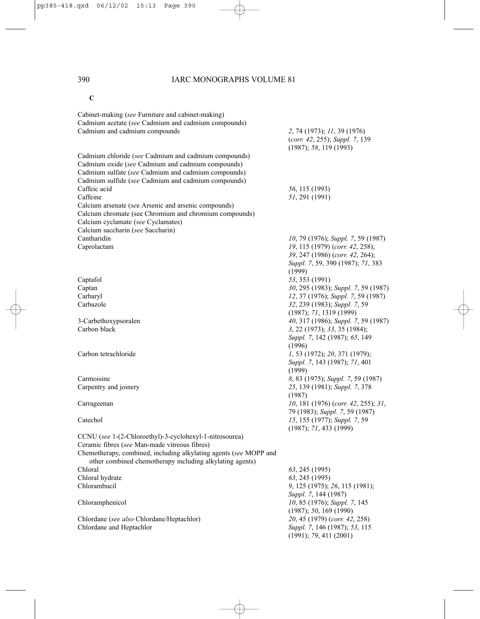# **C**

| Cabinet-making (see Furniture and cabinet-making)                                                        |                                                                |
|----------------------------------------------------------------------------------------------------------|----------------------------------------------------------------|
| Cadmium acetate (see Cadmium and cadmium compounds)                                                      |                                                                |
| Cadmium and cadmium compounds                                                                            | 2, 74 (1973); 11, 39 (1976)                                    |
|                                                                                                          | (corr. 42, 255); Suppl. 7, 139<br>(1987); 58, 119(1993)        |
| Cadmium chloride (see Cadmium and cadmium compounds)                                                     |                                                                |
|                                                                                                          |                                                                |
| Cadmium oxide (see Cadmium and cadmium compounds)                                                        |                                                                |
| Cadmium sulfate (see Cadmium and cadmium compounds)                                                      |                                                                |
| Cadmium sulfide (see Cadmium and cadmium compounds)                                                      |                                                                |
| Caffeic acid                                                                                             | 56, 115 (1993)                                                 |
| Caffeine                                                                                                 | 51, 291 (1991)                                                 |
| Calcium arsenate (see Arsenic and arsenic compounds)                                                     |                                                                |
| Calcium chromate (see Chromium and chromium compounds)                                                   |                                                                |
| Calcium cyclamate (see Cyclamates)                                                                       |                                                                |
| Calcium saccharin (see Saccharin)                                                                        |                                                                |
| Cantharidin                                                                                              | 10, 79 (1976); Suppl. 7, 59 (1987)                             |
| Caprolactam                                                                                              | 19, 115 (1979) (corr. 42, 258);                                |
|                                                                                                          | 39, 247 (1986) (corr. 42, 264);                                |
|                                                                                                          | Suppl. 7, 59, 390 (1987); 71, 383                              |
| Captafol                                                                                                 | (1999)<br>53, 353 (1991)                                       |
| Captan                                                                                                   | 30, 295 (1983); Suppl. 7, 59 (1987)                            |
| Carbaryl                                                                                                 | 12, 37 (1976); Suppl. 7, 59 (1987)                             |
| Carbazole                                                                                                | 32, 239 (1983); Suppl. 7, 59                                   |
|                                                                                                          |                                                                |
|                                                                                                          | (1987); 71, 1319(1999)                                         |
| 3-Carbethoxypsoralen<br>Carbon black                                                                     | 40, 317 (1986); Suppl. 7, 59 (1987)                            |
|                                                                                                          | 3, 22 (1973); 33, 35 (1984);                                   |
|                                                                                                          | Suppl. 7, 142 (1987); 65, 149                                  |
|                                                                                                          | (1996)                                                         |
| Carbon tetrachloride                                                                                     | 1, 53 (1972); 20, 371 (1979);                                  |
|                                                                                                          | Suppl. 7, 143 (1987); 71, 401                                  |
| Carmoisine                                                                                               | (1999)                                                         |
|                                                                                                          | 8, 83 (1975); Suppl. 7, 59 (1987)                              |
| Carpentry and joinery                                                                                    | 25, 139 (1981); Suppl. 7, 378                                  |
|                                                                                                          | (1987)                                                         |
| Carrageenan                                                                                              | 10, 181 (1976) (corr. 42, 255); 31,                            |
| Catechol                                                                                                 | 79 (1983); Suppl. 7, 59 (1987)                                 |
|                                                                                                          | 15, 155 (1977); Suppl. 7, 59                                   |
|                                                                                                          | (1987); 71, 433 (1999)                                         |
| CCNU (see 1-(2-Chloroethyl)-3-cyclohexyl-1-nitrosourea)<br>Ceramic fibres (see Man-made vitreous fibres) |                                                                |
|                                                                                                          |                                                                |
| Chemotherapy, combined, including alkylating agents (see MOPP and                                        |                                                                |
| other combined chemotherapy including alkylating agents)<br>Chloral                                      |                                                                |
|                                                                                                          | 63, 245 (1995)                                                 |
| Chloral hydrate<br>Chlorambucil                                                                          | 63, 245 (1995)                                                 |
|                                                                                                          | 9, 125 (1975); 26, 115 (1981);                                 |
|                                                                                                          | Suppl. 7, 144 (1987)                                           |
| Chloramphenicol                                                                                          | 10, 85 (1976); Suppl. 7, 145                                   |
|                                                                                                          | (1987); 50, 169 (1990)                                         |
| Chlordane (see also Chlordane/Heptachlor)<br>Chlordane and Heptachlor                                    | 20, 45 (1979) (corr. 42, 258)<br>Suppl. 7, 146 (1987); 53, 115 |
|                                                                                                          | (1991); 79, 411 (2001)                                         |
|                                                                                                          |                                                                |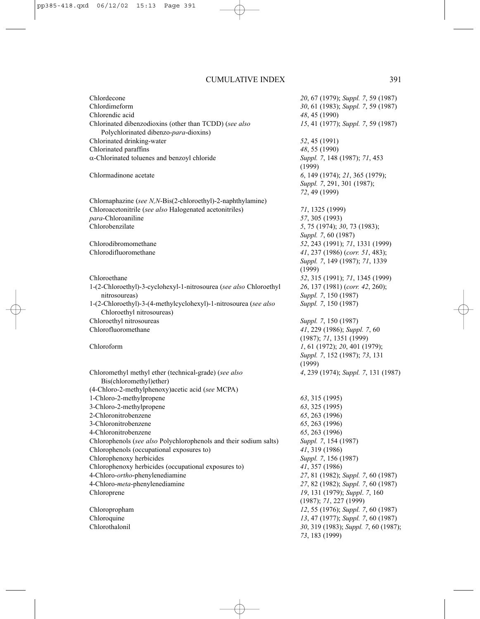| Chlordecone<br>Chlordimeform<br>Chlorendic acid                                                 | 20, 67 (1979); Suppl. 7, 59 (1987)<br>30, 61 (1983); Suppl. 7, 59 (1987)<br>48, 45 (1990) |
|-------------------------------------------------------------------------------------------------|-------------------------------------------------------------------------------------------|
| Chlorinated dibenzodioxins (other than TCDD) (see also<br>Polychlorinated dibenzo-para-dioxins) | 15, 41 (1977); Suppl. 7, 59 (1987)                                                        |
| Chlorinated drinking-water                                                                      | 52, 45 (1991)                                                                             |
| Chlorinated paraffins                                                                           | 48, 55 (1990)                                                                             |
| $\alpha$ -Chlorinated toluenes and benzoyl chloride                                             | Suppl. 7, 148 (1987); 71, 453<br>(1999)                                                   |
| Chlormadinone acetate                                                                           | 6, 149 (1974); 21, 365 (1979);<br>Suppl. 7, 291, 301 (1987);                              |
|                                                                                                 | 72, 49 (1999)                                                                             |
| Chlornaphazine (see N,N-Bis(2-chloroethyl)-2-naphthylamine)                                     |                                                                                           |
| Chloroacetonitrile (see also Halogenated acetonitriles)                                         | 71, 1325 (1999)                                                                           |
| para-Chloroaniline                                                                              | 57, 305 (1993)                                                                            |
| Chlorobenzilate                                                                                 | 5, 75 (1974); 30, 73 (1983);<br>Suppl. 7, 60 (1987)                                       |
| Chlorodibromomethane                                                                            | 52, 243 (1991); 71, 1331 (1999)                                                           |
| Chlorodifluoromethane                                                                           | 41, 237 (1986) (corr. 51, 483);                                                           |
|                                                                                                 | Suppl. 7, 149 (1987); 71, 1339<br>(1999)                                                  |
| Chloroethane                                                                                    | 52, 315 (1991); 71, 1345 (1999)                                                           |
| 1-(2-Chloroethyl)-3-cyclohexyl-1-nitrosourea (see also Chloroethyl                              | 26, 137 (1981) (corr. 42, 260);                                                           |
| nitrosoureas)                                                                                   | Suppl. 7, 150 (1987)                                                                      |
| 1-(2-Chloroethyl)-3-(4-methylcyclohexyl)-1-nitrosourea (see also<br>Chloroethyl nitrosoureas)   | Suppl. 7, 150 (1987)                                                                      |
| Chloroethyl nitrosoureas                                                                        | Suppl. 7, 150 (1987)                                                                      |
| Chlorofluoromethane                                                                             | 41, 229 (1986); Suppl. 7, 60                                                              |
|                                                                                                 | (1987); 71, 1351 (1999)                                                                   |
| Chloroform                                                                                      | 1, 61 (1972); 20, 401 (1979);                                                             |
|                                                                                                 | Suppl. 7, 152 (1987); 73, 131<br>(1999)                                                   |
| Chloromethyl methyl ether (technical-grade) (see also                                           | 4, 239 (1974); Suppl. 7, 131 (1987)                                                       |
| Bis(chloromethyl)ether)                                                                         |                                                                                           |
| (4-Chloro-2-methylphenoxy) acetic acid (see MCPA)                                               |                                                                                           |
| 1-Chloro-2-methylpropene                                                                        | 63, 315 (1995)                                                                            |
| 3-Chloro-2-methylpropene                                                                        | 63, 325 (1995)                                                                            |
| 2-Chloronitrobenzene                                                                            | 65, 263 (1996)                                                                            |
| 3-Chloronitrobenzene                                                                            | 65, 263 (1996)                                                                            |
| 4-Chloronitrobenzene                                                                            | 65, 263 (1996)                                                                            |
| Chlorophenols (see also Polychlorophenols and their sodium salts)                               | Suppl. 7, 154 (1987)                                                                      |
| Chlorophenols (occupational exposures to)                                                       | 41, 319 (1986)                                                                            |
| Chlorophenoxy herbicides                                                                        | Suppl. 7, 156 (1987)                                                                      |
| Chlorophenoxy herbicides (occupational exposures to)<br>4-Chloro-ortho-phenylenediamine         | 41, 357 (1986)                                                                            |
| 4-Chloro-meta-phenylenediamine                                                                  | 27, 81 (1982); Suppl. 7, 60 (1987)<br>27, 82 (1982); Suppl. 7, 60 (1987)                  |
| Chloroprene                                                                                     | 19, 131 (1979); Suppl. 7, 160                                                             |
|                                                                                                 | (1987); 71, 227 (1999)                                                                    |
| Chloropropham                                                                                   | 12, 55 (1976); Suppl. 7, 60 (1987)                                                        |
| Chloroquine                                                                                     | 13, 47 (1977); Suppl. 7, 60 (1987)                                                        |
| Chlorothalonil                                                                                  | 30, 319 (1983); Suppl. 7, 60 (1987);<br>73, 183 (1999)                                    |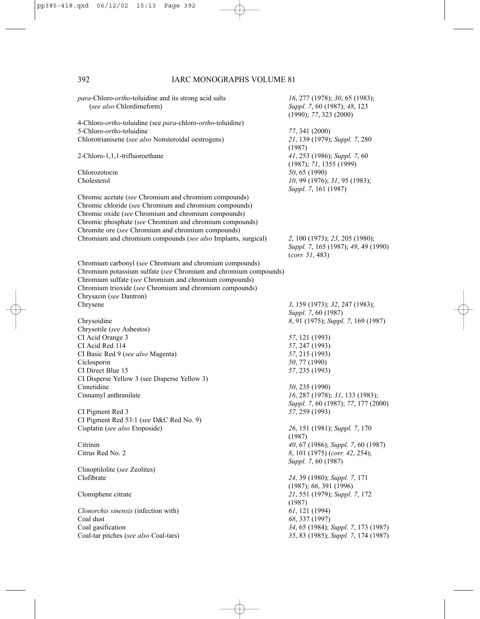| <i>para</i> -Chloro- <i>ortho</i> -toluidine and its strong acid salts<br>(see also Chlordimeform) | 16, 277 (1978); 30, 65 (1983);<br>Suppl. 7, 60 (1987); 48, 123<br>(1990); 77, 323 (2000) |
|----------------------------------------------------------------------------------------------------|------------------------------------------------------------------------------------------|
| 4-Chloro-ortho-toluidine (see para-chloro-ortho-toluidine)                                         |                                                                                          |
| 5-Chloro- <i>ortho</i> -toluidine                                                                  | 77, 341 (2000)                                                                           |
| Chlorotrianisene (see also Nonsteroidal oestrogens)                                                | 21, 139 (1979); Suppl. 7, 280<br>(1987)                                                  |
| 2-Chloro-1,1,1-trifluoroethane                                                                     | 41, 253 (1986); Suppl. 7, 60<br>(1987); 71, 1355 (1999)                                  |
| Chlorozotocin                                                                                      | 50, 65 (1990)                                                                            |
| Cholesterol                                                                                        | 10, 99 (1976); 31, 95 (1983);<br>Suppl. 7, 161 (1987)                                    |
| Chromic acetate (see Chromium and chromium compounds)                                              |                                                                                          |
| Chromic chloride (see Chromium and chromium compounds)                                             |                                                                                          |
| Chromic oxide (see Chromium and chromium compounds)                                                |                                                                                          |
| Chromic phosphate (see Chromium and chromium compounds)                                            |                                                                                          |
| Chromite ore (see Chromium and chromium compounds)                                                 |                                                                                          |
| Chromium and chromium compounds (see also Implants, surgical)                                      | 2, 100 (1973); 23, 205 (1980);<br>Suppl. 7, 165 (1987); 49, 49 (1990)<br>(corr. 51, 483) |
| Chromium carbonyl (see Chromium and chromium compounds)                                            |                                                                                          |
| Chromium potassium sulfate (see Chromium and chromium compounds)                                   |                                                                                          |
| Chromium sulfate (see Chromium and chromium compounds)                                             |                                                                                          |
| Chromium trioxide (see Chromium and chromium compounds)                                            |                                                                                          |
| Chrysazin (see Dantron)                                                                            |                                                                                          |
| Chrysene                                                                                           | 3, 159 (1973); 32, 247 (1983);                                                           |
|                                                                                                    | Suppl. 7, 60 (1987)                                                                      |
| Chrysoidine                                                                                        | 8, 91 (1975); Suppl. 7, 169 (1987)                                                       |
| Chrysotile (see Asbestos)                                                                          |                                                                                          |
| CI Acid Orange 3                                                                                   | 57, 121 (1993)                                                                           |
| CI Acid Red 114                                                                                    | 57, 247 (1993)                                                                           |
| CI Basic Red 9 (see also Magenta)                                                                  | 57, 215 (1993)                                                                           |
| Ciclosporin                                                                                        | 50, 77 (1990)                                                                            |
| CI Direct Blue 15                                                                                  | 57, 235 (1993)                                                                           |
| CI Disperse Yellow 3 (see Disperse Yellow 3)                                                       |                                                                                          |
| Cimetidine                                                                                         | 50, 235 (1990)                                                                           |
| Cinnamyl anthranilate                                                                              | 16, 287 (1978); 31, 133 (1983);                                                          |
|                                                                                                    | Suppl. 7, 60 (1987); 77, 177 (2000)                                                      |
| CI Pigment Red 3                                                                                   | 57, 259 (1993)                                                                           |
| CI Pigment Red 53:1 (see D&C Red No. 9)                                                            |                                                                                          |
| Cisplatin (see also Etoposide)                                                                     | 26, 151 (1981); Suppl. 7, 170                                                            |
|                                                                                                    | (1987)                                                                                   |
| Citrinin                                                                                           | 40, 67 (1986); Suppl. 7, 60 (1987)                                                       |
| Citrus Red No. 2                                                                                   | 8, 101 (1975) (corr. 42, 254);                                                           |
|                                                                                                    | Suppl. 7, 60 (1987)                                                                      |
| Clinoptilolite (see Zeolites)                                                                      |                                                                                          |
| Clofibrate                                                                                         | 24, 39 (1980); Suppl. 7, 171                                                             |
|                                                                                                    | (1987); 66, 391 (1996)                                                                   |
| Clomiphene citrate                                                                                 | 21, 551 (1979); Suppl. 7, 172                                                            |
|                                                                                                    | (1987)                                                                                   |
| Clonorchis sinensis (infection with)                                                               | $61, 121$ (1994)                                                                         |
| Coal dust                                                                                          | 68, 337 (1997)                                                                           |
| Coal gasification                                                                                  | 34, 65 (1984); Suppl. 7, 173 (1987)                                                      |
| Coal-tar pitches (see also Coal-tars)                                                              |                                                                                          |
|                                                                                                    | 35, 83 (1985); Suppl. 7, 174 (1987)                                                      |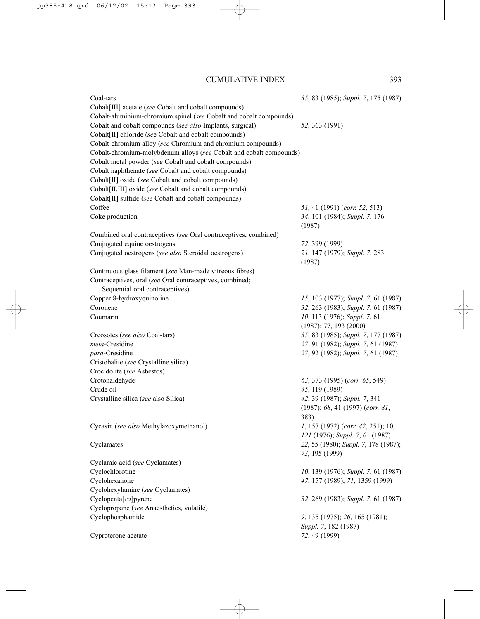| Coal-tars                                                           | 35, 83 (1985); Suppl. 7, 175 (1987)  |
|---------------------------------------------------------------------|--------------------------------------|
| Cobalt[III] acetate (see Cobalt and cobalt compounds)               |                                      |
| Cobalt-aluminium-chromium spinel (see Cobalt and cobalt compounds)  |                                      |
| Cobalt and cobalt compounds (see also Implants, surgical)           | 52, 363 (1991)                       |
| Cobalt[II] chloride (see Cobalt and cobalt compounds)               |                                      |
| Cobalt-chromium alloy (see Chromium and chromium compounds)         |                                      |
| Cobalt-chromium-molybdenum alloys (see Cobalt and cobalt compounds) |                                      |
| Cobalt metal powder (see Cobalt and cobalt compounds)               |                                      |
| Cobalt naphthenate (see Cobalt and cobalt compounds)                |                                      |
| Cobalt[II] oxide (see Cobalt and cobalt compounds)                  |                                      |
| Cobalt[II,III] oxide (see Cobalt and cobalt compounds)              |                                      |
| Cobalt[II] sulfide (see Cobalt and cobalt compounds)                |                                      |
| Coffee                                                              | 51, 41 (1991) (corr. 52, 513)        |
| Coke production                                                     | 34, 101 (1984); Suppl. 7, 176        |
|                                                                     | (1987)                               |
| Combined oral contraceptives (see Oral contraceptives, combined)    |                                      |
| Conjugated equine oestrogens                                        | 72, 399 (1999)                       |
| Conjugated oestrogens (see also Steroidal oestrogens)               | 21, 147 (1979); Suppl. 7, 283        |
|                                                                     | (1987)                               |
| Continuous glass filament (see Man-made vitreous fibres)            |                                      |
| Contraceptives, oral (see Oral contraceptives, combined;            |                                      |
| Sequential oral contraceptives)                                     |                                      |
| Copper 8-hydroxyquinoline                                           | 15, 103 (1977); Suppl. 7, 61 (1987)  |
| Coronene                                                            | 32, 263 (1983); Suppl. 7, 61 (1987)  |
| Coumarin                                                            | 10, 113 (1976); Suppl. 7, 61         |
|                                                                     | (1987); 77, 193 (2000)               |
| Creosotes (see also Coal-tars)                                      | 35, 83 (1985); Suppl. 7, 177 (1987)  |
| <i>meta-Cresidine</i>                                               | 27, 91 (1982); Suppl. 7, 61 (1987)   |
| <i>para-Cresidine</i>                                               | 27, 92 (1982); Suppl. 7, 61 (1987)   |
| Cristobalite (see Crystalline silica)                               |                                      |
| Crocidolite (see Asbestos)                                          |                                      |
| Crotonaldehyde                                                      | 63, 373 (1995) (corr. 65, 549)       |
| Crude oil                                                           | 45, 119 (1989)                       |
| Crystalline silica (see also Silica)                                | 42, 39 (1987); Suppl. 7, 341         |
|                                                                     | (1987); 68, 41 (1997) (corr. 81,     |
|                                                                     | 383)                                 |
| Cycasin (see also Methylazoxymethanol)                              | 1, 157 (1972) (corr. 42, 251); 10,   |
|                                                                     | 121 (1976); Suppl. 7, 61 (1987)      |
| Cyclamates                                                          | 22, 55 (1980); Suppl. 7, 178 (1987); |
|                                                                     | 73, 195 (1999)                       |
| Cyclamic acid (see Cyclamates)                                      |                                      |
| Cyclochlorotine                                                     | 10, 139 (1976); Suppl. 7, 61 (1987)  |
| Cyclohexanone                                                       | 47, 157 (1989); 71, 1359 (1999)      |
| Cyclohexylamine (see Cyclamates)                                    |                                      |
| Cyclopenta[cd]pyrene                                                | 32, 269 (1983); Suppl. 7, 61 (1987)  |
| Cyclopropane (see Anaesthetics, volatile)                           |                                      |
| Cyclophosphamide                                                    | 9, 135 (1975); 26, 165 (1981);       |
|                                                                     | Suppl. 7, 182 (1987)                 |
| Cyproterone acetate                                                 | 72, 49 (1999)                        |
|                                                                     |                                      |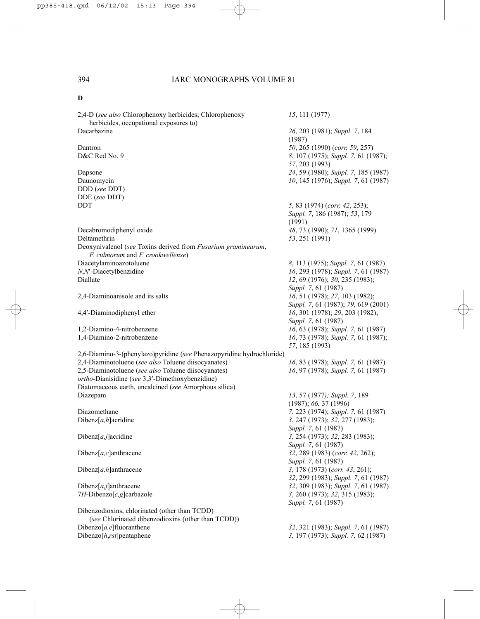2,4-D (*see also* Chlorophenoxy herbicides; Chlorophenoxy *15*, 111 (1977) herbicides, occupational exposures to) Dacarbazine *26*, 203 (1981); *Suppl. 7*, 184 Dantron *50*, 265 (1990) (*corr. 59*, 257) D&C Red No. 9 *8*, 107 (1975); *Suppl. 7*, 61 (1987); Dapsone *24*, 59 (1980); *Suppl. 7*, 185 (1987) Daunomycin *10*, 145 (1976); *Suppl. 7*, 61 (1987) DDD (*see* DDT) DDE (*see* DDT) DDT *5*, 83 (1974) (*corr. 42*, 253); Decabromodiphenyl oxide *48*, 73 (1990); *71*, 1365 (1999) Deltamethrin *53*, 251 (1991) Deoxynivalenol (*see* Toxins derived from *Fusarium graminearum*, *F. culmorum* and *F. crookwellense*) Diacetylaminoazotoluene *8*, 113 (1975); *Suppl. 7*, 61 (1987) *N*,*N*′-Diacetylbenzidine *16*, 293 (1978); *Suppl. 7*, 61 (1987) Diallate *12*, 69 (1976); *30*, 235 (1983); 2,4-Diaminoanisole and its salts *16*, 51 (1978); *27*, 103 (1982); 4,4′-Diaminodiphenyl ether *16*, 301 (1978); *29*, 203 (1982); 1,2-Diamino-4-nitrobenzene *16*, 63 (1978); *Suppl. 7*, 61 (1987) 1,4-Diamino-2-nitrobenzene *16*, 73 (1978); *Suppl. 7*, 61 (1987); 2,6-Diamino-3-(phenylazo)pyridine (*see* Phenazopyridine hydrochloride) 2,4-Diaminotoluene (*see also* Toluene diisocyanates) *16*, 83 (1978); *Suppl. 7*, 61 (1987) 2,5-Diaminotoluene (*see also* Toluene diisocyanates) *16*, 97 (1978); *Suppl. 7*, 61 (1987) *ortho*-Dianisidine (*see* 3,3′-Dimethoxybenzidine) Diatomaceous earth, uncalcined (*see* Amorphous silica) Diazepam *13*, 57 (1977*); Suppl. 7*, 189 Diazomethane *7*, 223 (1974); *Suppl. 7*, 61 (1987) Dibenz[*a,h*]acridine *3*, 247 (1973); *32*, 277 (1983); Dibenz[*a,j*]acridine *3*, 254 (1973); *32*, 283 (1983); Dibenz[*a,c*]anthracene *32*, 289 (1983) (*corr. 42*, 262); Dibenz[*a,h*]anthracene *3*, 178 (1973) (*corr. 43*, 261); Dibenz[*a,j*]anthracene *32*, 309 (1983); *Suppl. 7*, 61 (1987) 7*H*-Dibenzo[*c,g*]carbazole *3*, 260 (1973); *32*, 315 (1983); Dibenzodioxins, chlorinated (other than TCDD) (*see* Chlorinated dibenzodioxins (other than TCDD))<br>Dibenzo[a,e]fluoranthene

(1987) *57*, 203 (1993)

*Suppl. 7*, 186 (1987); *53*, 179 (1991)

*Suppl. 7*, 61 (1987) *Suppl. 7*, 61 (1987); *79*, 619 (2001) *Suppl. 7*, 61 (1987) *57*, 185 (1993)

(1987); *66*, 37 (1996) *Suppl. 7*, 61 (1987) *Suppl. 7*, 61 (1987) *Suppl. 7*, 61 (1987) *32*, 299 (1983); *Suppl. 7*, 61 (1987) *Suppl. 7*, 61 (1987)

Dibenzo[*a,e*]fluoranthene *32*, 321 (1983); *Suppl. 7*, 61 (1987) Dibenzo[*h*,*rst*]pentaphene *3*, 197 (1973); *Suppl. 7*, 62 (1987)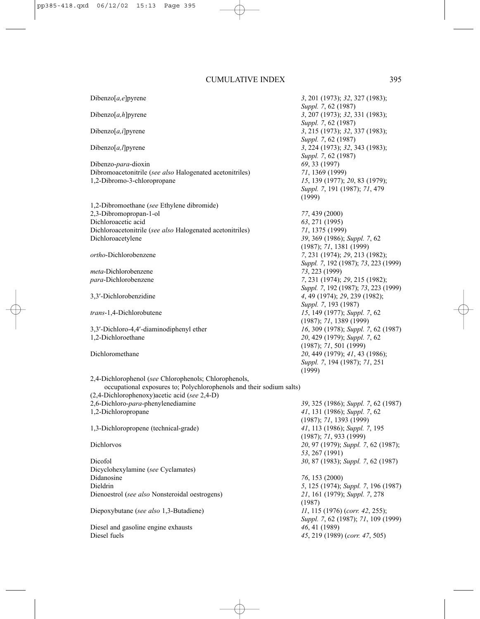Dibenzo-*para*-dioxin *69*, 33 (1997) Dibromoacetonitrile (*see also* Halogenated acetonitriles) *71*, 1369 (1999) 1,2-Dibromo-3-chloropropane *15*, 139 (1977); *20*, 83 (1979);

1,2-Dibromoethane (*see* Ethylene dibromide) 2,3-Dibromopropan-1-ol *77*, 439 (2000) Dichloroacetic acid *63*, 271 (1995) Dichloroacetonitrile (*see also* Halogenated acetonitriles) *71*, 1375 (1999) Dichloroacetylene *39*, 369 (1986); *Suppl. 7*, 62

*meta*-Dichlorobenzene *73*, 223 (1999)

3,3′-Dichloro-4,4′-diaminodiphenyl ether *16*, 309 (1978); *Suppl. 7*, 62 (1987) 1,2-Dichloroethane *20*, 429 (1979); *Suppl. 7*, 62

# Dibenzo[*a,e*]pyrene *3*, 201 (1973); *32*, 327 (1983); *Suppl. 7*, 62 (1987) Dibenzo[*a,h*]pyrene *3*, 207 (1973); *32*, 331 (1983); *Suppl. 7*, 62 (1987) Dibenzo[*a,i*]pyrene *3*, 215 (1973); *32*, 337 (1983); *Suppl. 7*, 62 (1987) Dibenzo[*a,l*]pyrene *3*, 224 (1973); *32*, 343 (1983); *Suppl. 7*, 62 (1987) *Suppl. 7*, 191 (1987); *71*, 479 (1999)

(1987); *71*, 1381 (1999) *ortho*-Dichlorobenzene *7*, 231 (1974); *29*, 213 (1982); *Suppl. 7*, 192 (1987); *73*, 223 (1999) *para*-Dichlorobenzene *7*, 231 (1974); *29*, 215 (1982); *Suppl. 7*, 192 (1987); *73*, 223 (1999) 3,3′-Dichlorobenzidine *4*, 49 (1974); *29*, 239 (1982); *Suppl. 7*, 193 (1987) *trans*-1,4-Dichlorobutene *15*, 149 (1977); *Suppl. 7*, 62 (1987); *71*, 1389 (1999) (1987); *71*, 501 (1999) Dichloromethane *20*, 449 (1979); *41*, 43 (1986); *Suppl. 7*, 194 (1987); *71*, 251 (1999)

2,4-Dichlorophenol (*see* Chlorophenols; Chlorophenols, occupational exposures to; Polychlorophenols and their sodium salts) (2,4-Dichlorophenoxy)acetic acid (*see* 2,4-D) 2,6-Dichloro-*para*-phenylenediamine *39*, 325 (1986); *Suppl. 7*, 62 (1987) 1,2-Dichloropropane *41*, 131 (1986); *Suppl. 7*, 62

1,3-Dichloropropene (technical-grade) *41*, 113 (1986); *Suppl. 7*, 195

Dicofol *30*, 87 (1983); *Suppl. 7*, 62 (1987) Dicyclohexylamine (*see* Cyclamates) Didanosine *76*, 153 (2000) Dieldrin *5*, 125 (1974); *Suppl. 7*, 196 (1987) Dienoestrol (*see also* Nonsteroidal oestrogens) *21*, 161 (1979); *Suppl. 7*, 278

Diepoxybutane (*see also* 1,3-Butadiene) *11*, 115 (1976) (*corr. 42*, 255);

Diesel and gasoline engine exhausts *46*, 41 (1989) Diesel fuels *45*, 219 (1989) (*corr. 47*, 505)

(1987); *71*, 1393 (1999) (1987); *71*, 933 (1999) Dichlorvos *20*, 97 (1979); *Suppl. 7*, 62 (1987); *53*, 267 (1991)

> (1987) *Suppl. 7*, 62 (1987); *71*, 109 (1999)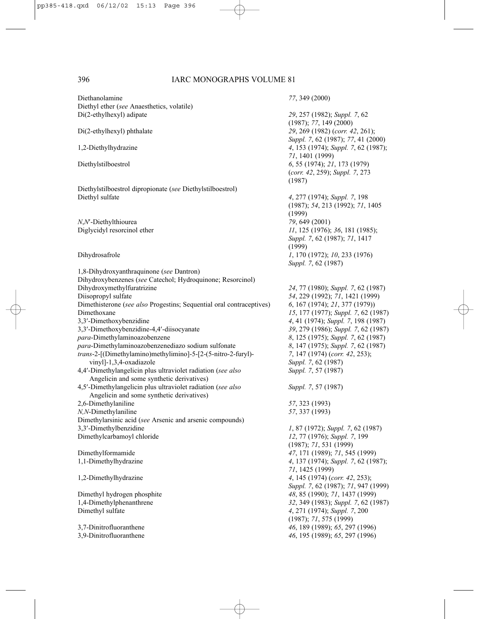Diethanolamine *77*, 349 (2000) Diethyl ether (*see* Anaesthetics, volatile) Di(2-ethylhexyl) adipate *29*, 257 (1982); *Suppl. 7*, 62 (1987); *77*, 149 (2000) Di(2-ethylhexyl) phthalate *29*, 269 (1982) (*corr. 42*, 261); *Suppl. 7*, 62 (1987); *77*, 41 (2000) 1,2-Diethylhydrazine *4*, 153 (1974); *Suppl. 7*, 62 (1987); *71*, 1401 (1999) Diethylstilboestrol *6*, 55 (1974); *21*, 173 (1979) (*corr. 42*, 259); *Suppl. 7*, 273 (1987) Diethylstilboestrol dipropionate (*see* Diethylstilboestrol) Diethyl sulfate *4*, 277 (1974); *Suppl. 7*, 198 (1987); *54*, 213 (1992); *71*, 1405 (1999) *N*,*N*<sup>-</sup>Diethylthiourea *79*, 649 (2001)<br>Diglycidyl resorcinol ether *11*, 125 (1976): Diglycidyl resorcinol ether *11*, 125 (1976); *36*, 181 (1985); *Suppl. 7*, 62 (1987); *71*, 1417 (1999) Dihydrosafrole *1*, 170 (1972); *10*, 233 (1976) *Suppl. 7*, 62 (1987) 1,8-Dihydroxyanthraquinone (*see* Dantron) Dihydroxybenzenes (*see* Catechol; Hydroquinone; Resorcinol) Dihydroxymethylfuratrizine *24*, 77 (1980); *Suppl. 7*, 62 (1987) Diisopropyl sulfate *54*, 229 (1992); *71*, 1421 (1999) Dimethisterone (*see also* Progestins; Sequential oral contraceptives) *6*, 167 (1974); *21*, 377 (1979)) Dimethoxane *15*, 177 (1977); *Suppl. 7*, 62 (1987) 3,3′-Dimethoxybenzidine *4*, 41 (1974); *Suppl. 7*, 198 (1987) 3,3′-Dimethoxybenzidine-4,4′-diisocyanate *39*, 279 (1986); *Suppl. 7*, 62 (1987) *para*-Dimethylaminoazobenzene *8*, 125 (1975); *Suppl. 7*, 62 (1987) *para*-Dimethylaminoazobenzenediazo sodium sulfonate *8*, 147 (1975); *Suppl. 7*, 62 (1987) *trans*-2-[(Dimethylamino)methylimino]-5-[2-(5-nitro-2-furyl)- *7*, 147 (1974) (*corr. 42*, 253); vinyl]-1,3,4-oxadiazole *Suppl. 7*, 62 (1987) 4,4′-Dimethylangelicin plus ultraviolet radiation (*see also Suppl. 7*, 57 (1987) Angelicin and some synthetic derivatives) 4,5′-Dimethylangelicin plus ultraviolet radiation (*see also Suppl. 7*, 57 (1987) Angelicin and some synthetic derivatives) 2,6-Dimethylaniline *57*, 323 (1993) *N,N*-Dimethylaniline *57*, 337 (1993) Dimethylarsinic acid (*see* Arsenic and arsenic compounds) 3,3′-Dimethylbenzidine *1*, 87 (1972); *Suppl. 7*, 62 (1987) Dimethylcarbamoyl chloride *12*, 77 (1976); *Suppl. 7*, 199 (1987); *71*, 531 (1999) Dimethylformamide *47*, 171 (1989); *71*, 545 (1999) 1,1-Dimethylhydrazine *4*, 137 (1974); *Suppl. 7*, 62 (1987); *71*, 1425 (1999) 1,2-Dimethylhydrazine *4*, 145 (1974) (*corr. 42*, 253); *Suppl. 7*, 62 (1987); *71*, 947 (1999) Dimethyl hydrogen phosphite *48*, 85 (1990); *71*, 1437 (1999) 1,4-Dimethylphenanthrene *32*, 349 (1983); *Suppl. 7*, 62 (1987) Dimethyl sulfate *4*, 271 (1974); *Suppl. 7*, 200 (1987); *71*, 575 (1999) 3,7-Dinitrofluoranthene *46*, 189 (1989); *65*, 297 (1996) 3,9-Dinitrofluoranthene *46*, 195 (1989); *65*, 297 (1996)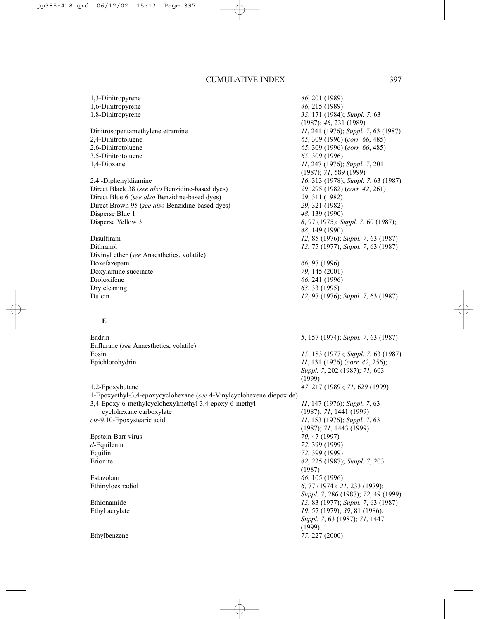1,3-Dinitropyrene *46*, 201 (1989) 1,6-Dinitropyrene *46*, 215 (1989) 1,8-Dinitropyrene *33*, 171 (1984); *Suppl. 7*, 63 (1987); *46*, 231 (1989) Dinitrosopentamethylenetetramine *11*, 241 (1976); *Suppl. 7*, 63 (1987) 2,4-Dinitrotoluene *65*, 309 (1996) (*corr. 66*, 485) 2,6-Dinitrotoluene *65*, 309 (1996) (*corr. 66*, 485) 3,5-Dinitrotoluene *65*, 309 (1996) 1,4-Dioxane *11*, 247 (1976); *Suppl. 7*, 201 (1987); *71*, 589 (1999) 2,4′-Diphenyldiamine *16*, 313 (1978); *Suppl. 7*, 63 (1987) Direct Black 38 (*see also* Benzidine-based dyes) *29*, 295 (1982) (*corr. 42*, 261) Direct Blue 6 (*see also* Benzidine-based dyes) *29*, 311 (1982) Direct Brown 95 (*see also* Benzidine-based dyes) *29*, 321 (1982) Disperse Blue 1 *48*, 139 (1990) Disperse Yellow 3 *8*, 97 (1975); *Suppl. 7*, 60 (1987); *48*, 149 (1990) Disulfiram *12*, 85 (1976); *Suppl. 7*, 63 (1987) Dithranol *13*, 75 (1977); *Suppl. 7*, 63 (1987) Divinyl ether (*see* Anaesthetics, volatile) Doxefazepam *66*, 97 (1996) Doxylamine succinate *79*, 145 (2001) Droloxifene *66*, 241 (1996) Dry cleaning *63*, 33 (1995) Dulcin *12*, 97 (1976); *Suppl. 7*, 63 (1987) **E** Endrin *5*, 157 (1974); *Suppl. 7*, 63 (1987) Enflurane (*see* Anaesthetics, volatile) Eosin *15*, 183 (1977); *Suppl. 7*, 63 (1987) Epichlorohydrin *11*, 131 (1976) (*corr. 42*, 256); *Suppl. 7*, 202 (1987); *71*, 603 (1999) 1,2-Epoxybutane *47*, 217 (1989); *71*, 629 (1999) 1-Epoxyethyl-3,4-epoxycyclohexane (*see* 4-Vinylcyclohexene diepoxide) 3,4-Epoxy-6-methylcyclohexylmethyl 3,4-epoxy-6-methyl- *11*, 147 (1976); *Suppl. 7*, 63 cyclohexane carboxylate (1987); *71*, 1441 (1999) *cis*-9,10-Epoxystearic acid *11*, 153 (1976); *Suppl. 7*, 63 (1987); *71*, 1443 (1999) Epstein-Barr virus *70*, 47 (1997) *d*-Equilenin *72*, 399 (1999) Equilin *72*, 399 (1999) Erionite *42*, 225 (1987); *Suppl. 7*, 203 (1987) Estazolam *66*, 105 (1996) Ethinyloestradiol *6*, 77 (1974); *21*, 233 (1979); *Suppl. 7*, 286 (1987); *72*, 49 (1999) Ethionamide *13*, 83 (1977); *Suppl. 7*, 63 (1987) Ethyl acrylate *19*, 57 (1979); *39*, 81 (1986); *Suppl. 7*, 63 (1987); *71*, 1447 (1999) Ethylbenzene *77*, 227 (2000)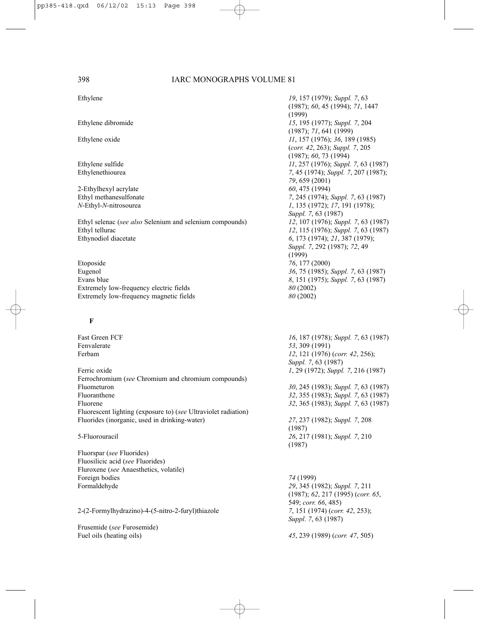2-Ethylhexyl acrylate *60*, 475 (1994)

Ethyl selenac (*see also* Selenium and selenium compounds) *12*, 107 (1976); *Suppl. 7*, 63 (1987) Ethyl tellurac *12*, 115 (1976); *Suppl. 7*, 63 (1987) Ethynodiol diacetate *6*, 173 (1974); *21*, 387 (1979);

Etoposide *76*, 177 (2000) Eugenol *36*, 75 (1985); *Suppl. 7*, 63 (1987) Evans blue *8*, 151 (1975); *Suppl. 7*, 63 (1987) Extremely low-frequency electric fields *80* (2002) Extremely low-frequency magnetic fields *80* (2002)

#### **F**

Fenvalerate *53*, 309 (1991)

Ferric oxide *1*, 29 (1972); *Suppl. 7*, 216 (1987) Ferrochromium (*see* Chromium and chromium compounds) Fluometuron *30*, 245 (1983); *Suppl. 7*, 63 (1987) Fluoranthene *32*, 355 (1983); *Suppl. 7*, 63 (1987) Fluorene *32*, 365 (1983); *Suppl. 7*, 63 (1987) Fluorescent lighting (exposure to) (*see* Ultraviolet radiation) Fluorides (inorganic, used in drinking-water) *27*, 237 (1982); *Suppl. 7*, 208

Fluorspar (*see* Fluorides) Fluosilicic acid (*see* Fluorides) Fluroxene (*see* Anaesthetics, volatile) Foreign bodies *74* (1999) Formaldehyde *29*, 345 (1982); *Suppl. 7*, 211

2-(2-Formylhydrazino)-4-(5-nitro-2-furyl)thiazole *7*, 151 (1974) (*corr. 42*, 253);

Frusemide (*see* Furosemide)

Ethylene *19*, 157 (1979); *Suppl. 7*, 63 (1987); *60*, 45 (1994); *71*, 1447 (1999) Ethylene dibromide *15*, 195 (1977); *Suppl. 7*, 204 (1987); *71*, 641 (1999) Ethylene oxide *11*, 157 (1976); *36*, 189 (1985) (*corr. 42*, 263); *Suppl. 7*, 205 (1987); *60*, 73 (1994) Ethylene sulfide *11*, 257 (1976); *Suppl. 7*, 63 (1987) Ethylenethiourea *7*, 45 (1974); *Suppl. 7*, 207 (1987); *79*, 659 (2001) Ethyl methanesulfonate *7*, 245 (1974); *Suppl. 7*, 63 (1987) *N*-Ethyl-*N*-nitrosourea *1*, 135 (1972); *17*, 191 (1978); *Suppl. 7*, 63 (1987) *Suppl. 7*, 292 (1987); *72*, 49 (1999)

Fast Green FCF *16*, 187 (1978); *Suppl. 7*, 63 (1987) *12*, 121 (1976) (*corr. 42*, 256); *Suppl. 7*, 63 (1987)

(1987) 5-Fluorouracil *26*, 217 (1981); *Suppl. 7*, 210 (1987)

> (1987); *62*, 217 (1995) (*corr. 65*, 549; *corr. 66*, 485) *Suppl. 7*, 63 (1987)

Fuel oils (heating oils) *45*, 239 (1989) (*corr. 47*, 505)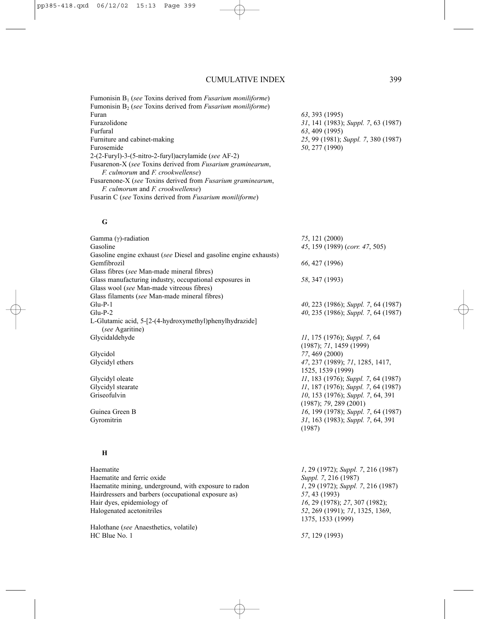Fumonisin B1 (*see* Toxins derived from *Fusarium moniliforme*) Fumonisin B2 (*see* Toxins derived from *Fusarium moniliforme*) Furazolidone *31*, 141 (1983); *Suppl. 7*, 63 (1987) Furfural *63*, 409 (1995) Furniture and cabinet-making *25*, 99 (1981); *Suppl. 7*, 380 (1987) Furosemide *50*, 277 (1990) 2-(2-Furyl)-3-(5-nitro-2-furyl)acrylamide (*see* AF-2) Fusarenon-X (*see* Toxins derived from *Fusarium graminearum*, *F. culmorum* and *F. crookwellense*) Fusarenone-X (*see* Toxins derived from *Fusarium graminearum*, *F. culmorum* and *F. crookwellense*) Fusarin C (*see* Toxins derived from *Fusarium moniliforme*)

### **G**

| Gamma $(y)$ -radiation<br>Gasoline                                                                    | 75, 121 (2000)<br>45, 159 (1989) (corr. 47, 505)            |
|-------------------------------------------------------------------------------------------------------|-------------------------------------------------------------|
| Gasoline engine exhaust (see Diesel and gasoline engine exhausts)<br>Gemfibrozil                      | 66, 427 (1996)                                              |
| Glass fibres (see Man-made mineral fibres)<br>Glass manufacturing industry, occupational exposures in | 58, 347 (1993)                                              |
| Glass wool (see Man-made vitreous fibres)<br>Glass filaments (see Man-made mineral fibres)            |                                                             |
| $Glu-P-1$                                                                                             | 40, 223 (1986); Suppl. 7, 64 (1987)                         |
| $Glu-P-2$                                                                                             | 40, 235 (1986); Suppl. 7, 64 (1987)                         |
| L-Glutamic acid, 5-[2-(4-hydroxymethyl)phenylhydrazide]<br>(see Agaritine)                            |                                                             |
| Glycidaldehyde                                                                                        | 11, 175 (1976); Suppl. 7, 64<br>(1987); 71, 1459 (1999)     |
| Glycidol                                                                                              | 77, 469 (2000)                                              |
| Glycidyl ethers                                                                                       | 47, 237 (1989); 71, 1285, 1417,<br>1525, 1539 (1999)        |
| Glycidyl oleate                                                                                       | 11, 183 (1976); Suppl. 7, 64 (1987)                         |
| Glycidyl stearate                                                                                     | 11, 187 (1976); Suppl. 7, 64 (1987)                         |
| Griseofulvin                                                                                          | 10, 153 (1976); Suppl. 7, 64, 391<br>(1987); 79, 289 (2001) |
| Guinea Green B                                                                                        | 16, 199 (1978); Suppl. 7, 64 (1987)                         |
| Gyromitrin                                                                                            | 31, 163 (1983); Suppl. 7, 64, 391<br>(1987)                 |
| H                                                                                                     |                                                             |
| Haematite                                                                                             | 1, 29 (1972); Suppl. 7, 216 (1987)                          |
| Haematite and ferric oxide                                                                            | Suppl. 7, 216 (1987)                                        |
| Haematite mining, underground, with exposure to radon                                                 | 1, 29 (1972); Suppl. 7, 216 (1987)                          |
| Hairdressers and barbers (occupational exposure as)                                                   | 57, 43 (1993)                                               |
| Hair dyes, epidemiology of                                                                            | 16, 29 (1978); 27, 307 (1982);                              |
| Halogenated acetonitriles                                                                             | 52, 269 (1991); 71, 1325, 1369,<br>1375, 1533 (1999)        |
| Halothane (see Anaesthetics, volatile)                                                                |                                                             |

HC Blue No. 1 *57*, 129 (1993)

Furan *63*, 393 (1995)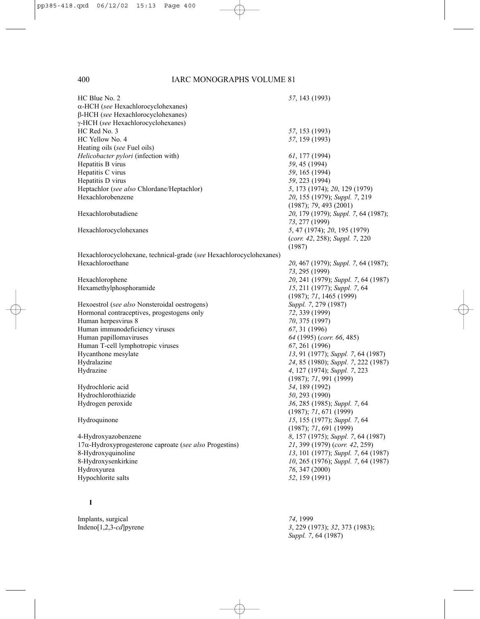| HC Blue No. 2                                                       | 57, 143 (1993)                       |
|---------------------------------------------------------------------|--------------------------------------|
| $\alpha$ -HCH (see Hexachlorocyclohexanes)                          |                                      |
| β-HCH (see Hexachlorocyclohexanes)                                  |                                      |
| γ-HCH (see Hexachlorocyclohexanes)                                  |                                      |
| HC Red No. 3                                                        | 57, 153 (1993)                       |
| HC Yellow No. 4                                                     | 57, 159 (1993)                       |
| Heating oils (see Fuel oils)                                        |                                      |
| Helicobacter pylori (infection with)                                | 61, 177 (1994)                       |
| Hepatitis B virus                                                   | 59, 45 (1994)                        |
| Hepatitis C virus                                                   | 59, 165 (1994)                       |
| Hepatitis D virus                                                   | 59, 223 (1994)                       |
| Heptachlor (see also Chlordane/Heptachlor)                          | 5, 173 (1974); 20, 129 (1979)        |
| Hexachlorobenzene                                                   | 20, 155 (1979); Suppl. 7, 219        |
|                                                                     | (1987); 79, 493 (2001)               |
| Hexachlorobutadiene                                                 | 20, 179 (1979); Suppl. 7, 64 (1987); |
|                                                                     |                                      |
|                                                                     | 73, 277 (1999)                       |
| Hexachlorocyclohexanes                                              | 5, 47 (1974); 20, 195 (1979)         |
|                                                                     | (corr. 42, 258); Suppl. 7, 220       |
|                                                                     | (1987)                               |
| Hexachlorocyclohexane, technical-grade (see Hexachlorocyclohexanes) |                                      |
| Hexachloroethane                                                    | 20, 467 (1979); Suppl. 7, 64 (1987); |
|                                                                     | 73, 295 (1999)                       |
| Hexachlorophene                                                     | 20, 241 (1979); Suppl. 7, 64 (1987)  |
| Hexamethylphosphoramide                                             | 15, 211 (1977); Suppl. 7, 64         |
|                                                                     | (1987); 71, 1465 (1999)              |
| Hexoestrol (see also Nonsteroidal oestrogens)                       | Suppl. 7, 279 (1987)                 |
| Hormonal contraceptives, progestogens only                          | 72, 339 (1999)                       |
| Human herpesvirus 8                                                 | 70, 375 (1997)                       |
| Human immunodeficiency viruses                                      | 67, 31 (1996)                        |
| Human papillomaviruses                                              | 64 (1995) (corr. 66, 485)            |
| Human T-cell lymphotropic viruses                                   | 67, 261 (1996)                       |
| Hycanthone mesylate                                                 | 13, 91 (1977); Suppl. 7, 64 (1987)   |
| Hydralazine                                                         | 24, 85 (1980); Suppl. 7, 222 (1987)  |
| Hydrazine                                                           | 4, 127 (1974); Suppl. 7, 223         |
|                                                                     | (1987); 71, 991 (1999)               |
| Hydrochloric acid                                                   | 54, 189 (1992)                       |
| Hydrochlorothiazide                                                 | <i>50</i> , 293 (1990)               |
| Hydrogen peroxide                                                   | 36, 285 (1985); Suppl. 7, 64         |
|                                                                     | (1987); 71, 671 (1999)               |
| Hydroquinone                                                        | 15, 155 (1977); Suppl. 7, 64         |
|                                                                     | (1987); 71, 691 (1999)               |
| 4-Hydroxyazobenzene                                                 | 8, 157 (1975); Suppl. 7, 64 (1987)   |
| $17\alpha$ -Hydroxyprogesterone caproate (see also Progestins)      | 21, 399 (1979) (corr. 42, 259)       |
| 8-Hydroxyquinoline                                                  | 13, 101 (1977); Suppl. 7, 64 (1987)  |
| 8-Hydroxysenkirkine                                                 | 10, 265 (1976); Suppl. 7, 64 (1987)  |
| Hydroxyurea                                                         | 76, 347 (2000)                       |
| Hypochlorite salts                                                  | 52, 159 (1991)                       |
|                                                                     |                                      |
|                                                                     |                                      |
| 1                                                                   |                                      |
|                                                                     |                                      |

3, 229 (1973); 32, 373 (1983);

*Suppl. 7*, 64 (1987)

Implants, surgical *74*, 1999<br>Indeno[1,2,3-*cd*] pyrene 3, 229 (19)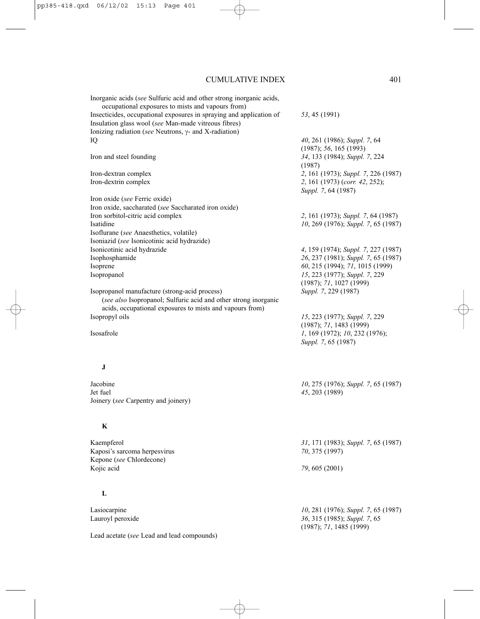| Inorganic acids (see Sulfuric acid and other strong inorganic acids, |                                                        |
|----------------------------------------------------------------------|--------------------------------------------------------|
| occupational exposures to mists and vapours from)                    |                                                        |
| Insecticides, occupational exposures in spraying and application of  | 53, 45 (1991)                                          |
| Insulation glass wool (see Man-made vitreous fibres)                 |                                                        |
| Ionizing radiation (see Neutrons, $\gamma$ - and X-radiation)        |                                                        |
| IQ                                                                   | 40, 261 (1986); Suppl. 7, 64<br>(1987); 56, 165 (1993) |
| Iron and steel founding                                              | 34, 133 (1984); Suppl. 7, 224<br>(1987)                |
| Iron-dextran complex                                                 | 2, 161 (1973); Suppl. 7, 226 (1987)                    |
| Iron-dextrin complex                                                 | 2, 161 (1973) (corr. 42, 252);<br>Suppl. 7, 64 (1987)  |
| Iron oxide (see Ferric oxide)                                        |                                                        |
| Iron oxide, saccharated (see Saccharated iron oxide)                 |                                                        |
| Iron sorbitol-citric acid complex                                    | 2, 161 (1973); Suppl. 7, 64 (1987)                     |
| Isatidine                                                            | 10, 269 (1976); Suppl. 7, 65 (1987)                    |
| Isoflurane (see Anaesthetics, volatile)                              |                                                        |
| Isoniazid (see Isonicotinic acid hydrazide)                          |                                                        |
| Isonicotinic acid hydrazide                                          | 4, 159 (1974); Suppl. 7, 227 (1987)                    |
| Isophosphamide                                                       | 26, 237 (1981); Suppl. 7, 65 (1987)                    |
| Isoprene                                                             | 60, 215 (1994); 71, 1015 (1999)                        |
| Isopropanol                                                          | 15, 223 (1977); Suppl. 7, 229                          |
|                                                                      | (1987); 71, 1027 (1999)                                |
| Isopropanol manufacture (strong-acid process)                        | Suppl. 7, 229 (1987)                                   |
| (see also Isopropanol; Sulfuric acid and other strong inorganic      |                                                        |
| acids, occupational exposures to mists and vapours from)             |                                                        |
| Isopropyl oils                                                       | 15, 223 (1977); Suppl. 7, 229                          |
|                                                                      | (1987); 71, 1483 (1999)                                |
| Isosafrole                                                           | 1, 169 (1972); 10, 232 (1976);                         |
|                                                                      | Suppl. 7, 65 (1987)                                    |
|                                                                      |                                                        |
| J                                                                    |                                                        |
| Jacobine                                                             | 10, 275 (1976); Suppl. 7, 65 (1987)                    |
| Jet fuel                                                             | 45, 203 (1989)                                         |
| Joinery (see Carpentry and joinery)                                  |                                                        |
|                                                                      |                                                        |
| K                                                                    |                                                        |
| Kaempferol                                                           | 31, 171 (1983); Suppl. 7, 65 (1987)                    |
| Kaposi's sarcoma herpesvirus                                         | 70, 375 (1997)                                         |
| Kepone (see Chlordecone)                                             |                                                        |
| Kojic acid                                                           | 79, 605 (2001)                                         |
|                                                                      |                                                        |
| L                                                                    |                                                        |
| Lasiocarpine                                                         | 10, 281 (1976); Suppl. 7, 65 (1987)                    |
| Lauroyl peroxide                                                     | 36, 315 (1985); Suppl. 7, 65                           |
|                                                                      | (1987); 71, 1485 (1999)                                |
| Lead acetate (see Lead and lead compounds)                           |                                                        |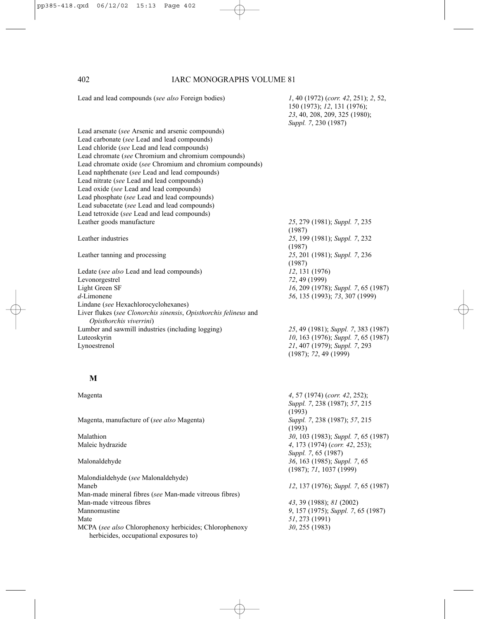150 (1973); *12*, 131 (1976); *23*, 40, 208, 209, 325 (1980); *Suppl. 7*, 230 (1987) Lead arsenate (*see* Arsenic and arsenic compounds) Lead carbonate (*see* Lead and lead compounds) Lead chloride (*see* Lead and lead compounds) Lead chromate (*see* Chromium and chromium compounds) Lead chromate oxide (*see* Chromium and chromium compounds) Lead naphthenate (*see* Lead and lead compounds) Lead nitrate (*see* Lead and lead compounds) Lead oxide (*see* Lead and lead compounds) Lead phosphate (*see* Lead and lead compounds) Lead subacetate (*see* Lead and lead compounds) Lead tetroxide (*see* Lead and lead compounds) Leather goods manufacture *25*, 279 (1981); *Suppl. 7*, 235 (1987) Leather industries *25*, 199 (1981); *Suppl. 7*, 232 (1987) Leather tanning and processing *25*, 201 (1981); *Suppl. 7*, 236 (1987) Ledate (*see also* Lead and lead compounds) *12*, 131 (1976) Levonorgestrel *72*, 49 (1999) Light Green SF *16*, 209 (1978); *Suppl. 7*, 65 (1987) *d*-Limonene *56*, 135 (1993); *73*, 307 (1999) Lindane (*see* Hexachlorocyclohexanes) Liver flukes (*see Clonorchis sinensis*, *Opisthorchis felineus* and *Opisthorchis viverrini*) Lumber and sawmill industries (including logging) *25*, 49 (1981); *Suppl. 7*, 383 (1987) Luteoskyrin *10*, 163 (1976); *Suppl. 7*, 65 (1987) Lynoestrenol *21*, 407 (1979); *Suppl. 7*, 293 (1987); *72*, 49 (1999)

# **M**

Magenta, manufacture of (*see also* Magenta) *Suppl. 7*, 238 (1987); *57*, 215

Malondialdehyde (*see* Malonaldehyde) Maneb *12*, 137 (1976); *Suppl. 7*, 65 (1987) Man-made mineral fibres (*see* Man-made vitreous fibres) Mannomustine *9*, 157 (1975); *Suppl. 7*, 65 (1987) Mate *51*, 273 (1991) MCPA (*see also* Chlorophenoxy herbicides; Chlorophenoxy *30*, 255 (1983) herbicides, occupational exposures to)

Magenta *4*, 57 (1974) (*corr. 42*, 252);

*Suppl. 7*, 238 (1987); *57*, 215 (1993) (1993) Malathion *30*, 103 (1983); *Suppl. 7*, 65 (1987) Maleic hydrazide *4*, 173 (1974) (*corr. 42*, 253); *Suppl. 7*, 65 (1987) Malonaldehyde *36*, 163 (1985); *Suppl. 7*, 65 (1987); *71*, 1037 (1999)

Man-made vitreous fibres *43*, 39 (1988); *81* (2002)

Lead and lead compounds (*see also* Foreign bodies) *1*, 40 (1972) (*corr. 42*, 251); *2*, 52,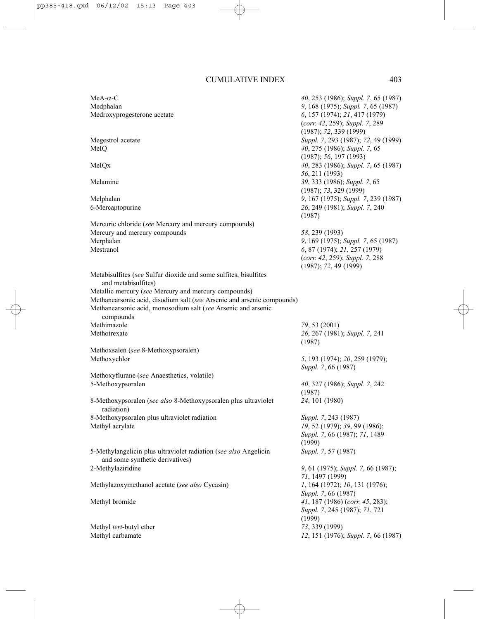| MeA- $\alpha$ -C<br>Medphalan<br>Medroxyprogesterone acetate                                        | 40, 253 (1986); Suppl. 7, 65 (1987)<br>9, 168 (1975); Suppl. 7, 65 (1987)<br>6, 157 (1974); 21, 417 (1979)<br>(corr. 42, 259); Suppl. 7, 289<br>(1987); 72, 339(1999) |
|-----------------------------------------------------------------------------------------------------|-----------------------------------------------------------------------------------------------------------------------------------------------------------------------|
| Megestrol acetate<br>MeIQ                                                                           | Suppl. 7, 293 (1987); 72, 49 (1999)<br>40, 275 (1986); Suppl. 7, 65<br>(1987); 56, 197 (1993)                                                                         |
| MeIQx                                                                                               | 40, 283 (1986); Suppl. 7, 65 (1987)<br>56, 211 (1993)                                                                                                                 |
| Melamine                                                                                            | 39, 333 (1986); Suppl. 7, 65<br>(1987); 73, 329 (1999)                                                                                                                |
| Melphalan                                                                                           | 9, 167 (1975); Suppl. 7, 239 (1987)                                                                                                                                   |
| 6-Mercaptopurine                                                                                    | 26, 249 (1981); Suppl. 7, 240<br>(1987)                                                                                                                               |
| Mercuric chloride (see Mercury and mercury compounds)                                               |                                                                                                                                                                       |
| Mercury and mercury compounds                                                                       | 58, 239 (1993)                                                                                                                                                        |
| Merphalan<br>Mestranol                                                                              | 9, 169 (1975); Suppl. 7, 65 (1987)<br>6, 87 (1974); 21, 257 (1979)                                                                                                    |
|                                                                                                     | (corr. 42, 259); Suppl. 7, 288<br>(1987); 72, 49 (1999)                                                                                                               |
| Metabisulfites (see Sulfur dioxide and some sulfites, bisulfites<br>and metabisulfites)             |                                                                                                                                                                       |
| Metallic mercury (see Mercury and mercury compounds)                                                |                                                                                                                                                                       |
| Methanearsonic acid, disodium salt (see Arsenic and arsenic compounds)                              |                                                                                                                                                                       |
| Methanearsonic acid, monosodium salt (see Arsenic and arsenic                                       |                                                                                                                                                                       |
| compounds                                                                                           |                                                                                                                                                                       |
| Methimazole                                                                                         | 79, 53 (2001)                                                                                                                                                         |
| Methotrexate                                                                                        | 26, 267 (1981); Suppl. 7, 241<br>(1987)                                                                                                                               |
| Methoxsalen (see 8-Methoxypsoralen)                                                                 |                                                                                                                                                                       |
| Methoxychlor                                                                                        | 5, 193 (1974); 20, 259 (1979);<br>Suppl. 7, 66 (1987)                                                                                                                 |
| Methoxyflurane (see Anaesthetics, volatile)                                                         |                                                                                                                                                                       |
| 5-Methoxypsoralen                                                                                   | 40, 327 (1986); Suppl. 7, 242<br>(1987)                                                                                                                               |
| 8-Methoxypsoralen (see also 8-Methoxypsoralen plus ultraviolet<br>radiation)                        | 24, 101 (1980)                                                                                                                                                        |
| 8-Methoxypsoralen plus ultraviolet radiation                                                        | Suppl. 7, 243 (1987)                                                                                                                                                  |
| Methyl acrylate                                                                                     | 19, 52 (1979); 39, 99 (1986);                                                                                                                                         |
|                                                                                                     | Suppl. 7, 66 (1987); 71, 1489<br>(1999)                                                                                                                               |
| 5-Methylangelicin plus ultraviolet radiation (see also Angelicin<br>and some synthetic derivatives) | Suppl. 7, 57 (1987)                                                                                                                                                   |
| 2-Methylaziridine                                                                                   | 9, 61 (1975); Suppl. 7, 66 (1987);<br>71, 1497 (1999)                                                                                                                 |
| Methylazoxymethanol acetate (see also Cycasin)                                                      | 1, 164 (1972); 10, 131 (1976);<br>Suppl. 7, 66 (1987)                                                                                                                 |
| Methyl bromide                                                                                      | 41, 187 (1986) (corr. 45, 283);<br>Suppl. 7, 245 (1987); 71, 721                                                                                                      |
|                                                                                                     | (1999)                                                                                                                                                                |
| Methyl tert-butyl ether                                                                             | 73, 339 (1999)                                                                                                                                                        |
| Methyl carbamate                                                                                    | 12, 151 (1976); Suppl. 7, 66 (1987)                                                                                                                                   |
|                                                                                                     |                                                                                                                                                                       |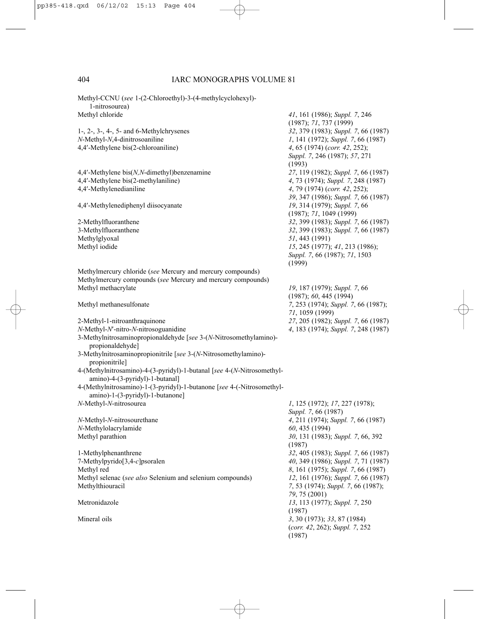Methyl-CCNU (*see* 1-(2-Chloroethyl)-3-(4-methylcyclohexyl)- 1-nitrosourea) Methyl chloride *41*, 161 (1986); *Suppl. 7*, 246 (1987); *71*, 737 (1999) 1-, 2-, 3-, 4-, 5- and 6-Methylchrysenes *32*, 379 (1983); *Suppl. 7*, 66 (1987) *N*-Methyl-*N*,4-dinitrosoaniline *1*, 141 (1972); *Suppl. 7*, 66 (1987) 4,4′-Methylene bis(2-chloroaniline) *4*, 65 (1974) (*corr. 42*, 252); *Suppl. 7*, 246 (1987); *57*, 271 (1993) 4,4′-Methylene bis(*N,N*-dimethyl)benzenamine *27*, 119 (1982); *Suppl. 7*, 66 (1987) 4,4′-Methylene bis(2-methylaniline) *4*, 73 (1974); *Suppl. 7*, 248 (1987) 4,4′-Methylenedianiline *4*, 79 (1974) (*corr. 42*, 252); *39*, 347 (1986); *Suppl. 7*, 66 (1987) 4,4'-Methylenediphenyl diisocyanate (1987); *71*, 1049 (1999) 2-Methylfluoranthene *32*, 399 (1983); *Suppl. 7*, 66 (1987) 32, 399 (1983); *Suppl.* 7, 66 (1987) Methylglyoxal *51*, 443 (1991) Methyl iodide *15*, 245 (1977); *41*, 213 (1986); *Suppl. 7*, 66 (1987); *71*, 1503 (1999) Methylmercury chloride (*see* Mercury and mercury compounds) Methylmercury compounds (*see* Mercury and mercury compounds) Methyl methacrylate *19*, 187 (1979); *Suppl. 7*, 66 (1987); *60*, 445 (1994) Methyl methanesulfonate *7*, 253 (1974); *Suppl. 7*, 66 (1987); *71*, 1059 (1999) 2-Methyl-1-nitroanthraquinone *27*, 205 (1982); *Suppl. 7*, 66 (1987) *N*-Methyl-*N*<sup>'</sup>-nitro-*N*-nitrosoguanidine 3-Methylnitrosaminopropionaldehyde [*see* 3-(*N*-Nitrosomethylamino) propionaldehyde] 3-Methylnitrosaminopropionitrile [*see* 3-(*N*-Nitrosomethylamino) propionitrile] 4-(Methylnitrosamino)-4-(3-pyridyl)-1-butanal [*see* 4-(*N*-Nitrosomethylamino)-4-(3-pyridyl)-1-butanal] 4-(Methylnitrosamino)-1-(3-pyridyl)-1-butanone [*see* 4-(-Nitrosomethylamino)-1-(3-pyridyl)-1-butanone] *N*-Methyl-*N*-nitrosourea *1*, 125 (1972); *17*, 227 (1978); *Suppl. 7*, 66 (1987) *N*-Methyl-*N*-nitrosourethane *4*, 211 (1974); *Suppl. 7*, 66 (1987) *N*-Methylolacrylamide *60*, 435 (1994) Methyl parathion *30*, 131 (1983); *Suppl. 7*, 66, 392 (1987) 1-Methylphenanthrene *32*, 405 (1983); *Suppl. 7*, 66 (1987) 7-Methylpyrido[3,4-*c*]psoralen *40*, 349 (1986); *Suppl. 7*, 71 (1987) Methyl red *8*, 161 (1975); *Suppl.* 7, 66 (1987)<br>
Methyl selenac (*see also* Selenium and selenium compounds) *12*, 161 (1976); *Suppl.* 7, 66 (1987) Methyl selenac (*see also* Selenium and selenium compounds) Methylthiouracil *7*, 53 (1974); *Suppl. 7*, 66 (1987); *79*, 75 (2001) Metronidazole *13*, 113 (1977); *Suppl. 7*, 250 (1987) Mineral oils *3*, 30 (1973); *33*, 87 (1984) (*corr. 42*, 262); *Suppl. 7*, 252 (1987)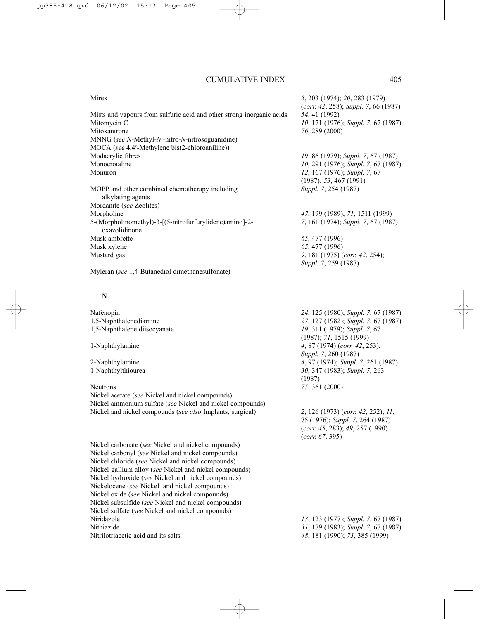| Mirex                                                                    | 5, 203 (1974); 20, 283 (1979)        |
|--------------------------------------------------------------------------|--------------------------------------|
|                                                                          | (corr. 42, 258); Suppl. 7, 66 (1987) |
| Mists and vapours from sulfuric acid and other strong inorganic acids    | 54, 41 (1992)                        |
| Mitomycin C                                                              | 10, 171 (1976); Suppl. 7, 67 (1987)  |
| Mitoxantrone                                                             | 76, 289 (2000)                       |
| $MNNG$ (see N-Methyl-N'-nitro-N-nitrosoguanidine)                        |                                      |
| MOCA (see 4,4'-Methylene bis(2-chloroaniline))                           |                                      |
| Modacrylic fibres                                                        | 19, 86 (1979); Suppl. 7, 67 (1987)   |
| Monocrotaline                                                            | 10, 291 (1976); Suppl. 7, 67 (1987)  |
| Monuron                                                                  | 12, 167 (1976); Suppl. 7, 67         |
|                                                                          | $(1987)$ ; 53, 467 (1991)            |
| MOPP and other combined chemotherapy including<br>alkylating agents      | Suppl. 7, 254 (1987)                 |
| Mordanite (see Zeolites)                                                 |                                      |
| Morpholine                                                               | 47, 199 (1989); 71, 1511 (1999)      |
| 5-(Morpholinomethyl)-3-[(5-nitrofurfurylidene)amino]-2-<br>oxazolidinone | 7, 161 (1974); Suppl. 7, 67 (1987)   |
| Musk ambrette                                                            | 65, 477 (1996)                       |
| Musk xylene                                                              | 65, 477 (1996)                       |
| Mustard gas                                                              | 9, 181 (1975) (corr. 42, 254);       |
|                                                                          | <i>Suppl 7 259 (1987)</i>            |

Myleran (*see* 1,4-Butanediol dimethanesulfonate)

#### **N**

Nickel acetate (*see* Nickel and nickel compounds) Nickel ammonium sulfate (*see* Nickel and nickel compounds) Nickel and nickel compounds (*see also* Implants, surgical) *2*, 126 (1973) (*corr. 42*, 252); *11*,

Nickel carbonate (*see* Nickel and nickel compounds) Nickel carbonyl (*see* Nickel and nickel compounds) Nickel chloride (*see* Nickel and nickel compounds) Nickel-gallium alloy (*see* Nickel and nickel compounds) Nickel hydroxide (*see* Nickel and nickel compounds) Nickelocene (*see* Nickel and nickel compounds) Nickel oxide (*see* Nickel and nickel compounds) Nickel subsulfide (*see* Nickel and nickel compounds) Nickel sulfate (*see* Nickel and nickel compounds) Niridazole *13*, 123 (1977); *Suppl. 7*, 67 (1987) Nitrilotriacetic acid and its salts *48*, 181 (1990); *73*, 385 (1999)

*Suppl. 7*, 259 (1987)

Nafenopin *24*, 125 (1980); *Suppl. 7*, 67 (1987) 1,5-Naphthalenediamine *27*, 127 (1982); *Suppl. 7*, 67 (1987) 19, 311 (1979); *Suppl.* 7, 67 (1987); *71*, 1515 (1999) 1-Naphthylamine *4*, 87 (1974) (*corr. 42*, 253); *Suppl. 7*, 260 (1987) 2-Naphthylamine *4*, 97 (1974); *Suppl. 7*, 261 (1987) 1-Naphthylthiourea *30*, 347 (1983); *Suppl. 7*, 263 (1987) Neutrons *75*, 361 (2000)

> 75 (1976); *Suppl. 7*, 264 (1987) (*corr. 45*, 283); *49*, 257 (1990) (*corr. 67*, 395)

Nithiazide *31*, 179 (1983); *Suppl. 7*, 67 (1987)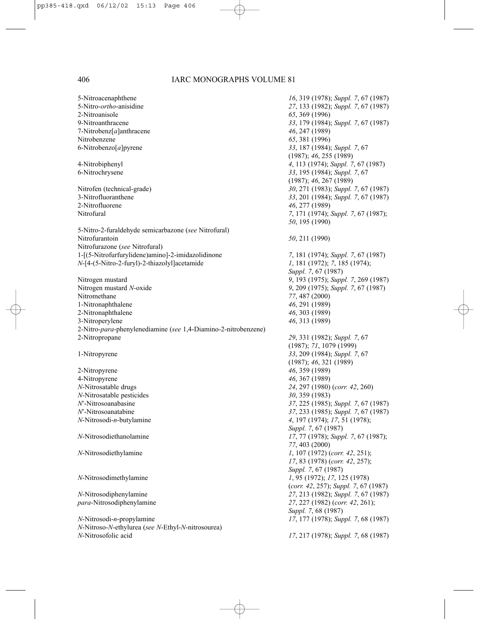5-Nitroacenaphthene *16*, 319 (1978); *Suppl. 7*, 67 (1987) 5-Nitro-*ortho*-anisidine *27*, 133 (1982); *Suppl. 7*, 67 (1987) 2-Nitroanisole *65*, 369 (1996) 9-Nitroanthracene *33*, 179 (1984); *Suppl. 7*, 67 (1987) 7-Nitrobenz[*a*]anthracene *46*, 247 (1989) Nitrobenzene *65*, 381 (1996) 6-Nitrobenzo[*a*]pyrene *33*, 187 (1984); *Suppl. 7*, 67 4-Nitrobiphenyl *4*, 113 (1974); *Suppl. 7*, 67 (1987) 6-Nitrochrysene *33*, 195 (1984); *Suppl. 7*, 67 Nitrofen (technical-grade) *30*, 271 (1983); *Suppl. 7*, 67 (1987) 3-Nitrofluoranthene *33*, 201 (1984); *Suppl. 7*, 67 (1987) Nitrofural *7*, 171 (1974); *Suppl. 7*, 67 (1987); 5-Nitro-2-furaldehyde semicarbazone (*see* Nitrofural) Nitrofurantoin *50*, 211 (1990) Nitrofurazone (*see* Nitrofural) 1-[(5-Nitrofurfurylidene)amino]-2-imidazolidinone *7*, 181 (1974); *Suppl. 7*, 67 (1987) *N*-[4-(5-Nitro-2-furyl)-2-thiazolyl]acetamide *1*, 181 (1972); *7*, 185 (1974); Nitrogen mustard *9*, 193 (1975); *Suppl. 7*, 269 (1987) Nitrogen mustard *N*-oxide *9*, 209 (1975); *Suppl. 7*, 67 (1987) Nitromethane *77*, 487 (2000) 1-Nitronaphthalene *46*, 291 (1989) 2-Nitronaphthalene *46*, 303 (1989) 3-Nitroperylene *46*, 313 (1989) 2-Nitro-*para*-phenylenediamine (*see* 1,4-Diamino-2-nitrobenzene) 2-Nitropropane *29*, 331 (1982); *Suppl. 7*, 67 1-Nitropyrene *33*, 209 (1984); *Suppl. 7*, 67 2-Nitropyrene *46*, 359 (1989) 4-Nitropyrene *46, 367 (1989)*<br> *N*-Nitrosatable drugs 24, 297 (1980) *N*-Nitrosatable pesticides *30*, 359 (1983) *N*′-Nitrosoanabasine *37*, 225 (1985); *Suppl. 7*, 67 (1987) *N*′-Nitrosoanatabine *37*, 233 (1985); *Suppl. 7*, 67 (1987) *N*-Nitrosodi-*n*-butylamine *4*, 197 (1974); *17*, 51 (1978); *N*-Nitrosodiethanolamine *17*, 77 (1978); *Suppl. 7*, 67 (1987); *N*-Nitrosodiethylamine *1*, 107 (1972) (*corr. 42*, 251); *N*-Nitrosodimethylamine *1*, 95 (1972); *17*, 125 (1978) *N*-Nitrosodiphenylamine *27*, 213 (1982); *Suppl. 7*, 67 (1987)<br> *para*-Nitrosodiphenylamine *27*, 227 (1982) (*corr. 42*, 261); *N*-Nitrosodi-*n*-propylamine *17*, 177 (1978); *Suppl. 7*, 68 (1987) *N*-Nitroso-*N*-ethylurea (*see N*-Ethyl-*N*-nitrosourea) *N*-Nitrosofolic acid *17*, 217 (1978); *Suppl. 7*, 68 (1987)

(1987); *46*, 255 (1989) (1987); *46*, 267 (1989) 2-Nitrofluorene *46*, 277 (1989) *50*, 195 (1990) *Suppl. 7*, 67 (1987) (1987); *71*, 1079 (1999) (1987); *46*, 321 (1989) *N*-Nitrosatable drugs *24*, 297 (1980) (*corr. 42*, 260) *Suppl. 7*, 67 (1987) *77*, 403 (2000) *17*, 83 (1978) (*corr. 42*, 257); *Suppl. 7*, 67 (1987) (*corr. 42*, 257); *Suppl. 7*, 67 (1987) *para*-Nitrosodiphenylamine *27*, 227 (1982) (*corr. 42*, 261); *Suppl. 7*, 68 (1987)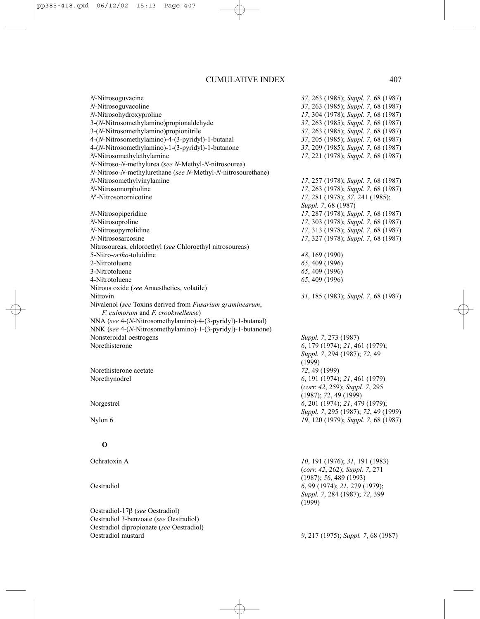*N*-Nitrosoguvacine *37*, 263 (1985); *Suppl. 7*, 68 (1987) *N*-Nitrosoguvacoline *37*, 263 (1985); *Suppl. 7*, 68 (1987) *N*-Nitrosohydroxyproline *17*, 304 (1978); *Suppl. 7*, 68 (1987) 3-(*N*-Nitrosomethylamino)propionaldehyde *37*, 263 (1985); *Suppl. 7*, 68 (1987) 3-(*N*-Nitrosomethylamino)propionitrile *37*, 263 (1985); *Suppl. 7*, 68 (1987) 4-(*N*-Nitrosomethylamino)-4-(3-pyridyl)-1-butanal *37*, 205 (1985); *Suppl. 7*, 68 (1987) 4-(*N*-Nitrosomethylamino)-1-(3-pyridyl)-1-butanone *37*, 209 (1985); *Suppl. 7*, 68 (1987) *N*-Nitrosomethylethylamine *17*, 221 (1978); *Suppl. 7*, 68 (1987) *N*-Nitroso-*N*-methylurea (*see N*-Methyl-*N*-nitrosourea) *N*-Nitroso-*N*-methylurethane (*see N*-Methyl-*N*-nitrosourethane) *N*-Nitrosomethylvinylamine *17*, 257 (1978); *Suppl. 7*, 68 (1987) *N*-Nitrosomorpholine *17*, 263 (1978); *Suppl. 7*, 68 (1987) *N*′-Nitrosonornicotine *17*, 281 (1978); *37*, 241 (1985); *Suppl. 7*, 68 (1987) *N*-Nitrosopiperidine *17*, 287 (1978); *Suppl. 7*, 68 (1987) *N*-Nitrosoproline *17*, 303 (1978); *Suppl. 7*, 68 (1987) *N*-Nitrosopyrrolidine *17*, 313 (1978); *Suppl. 7*, 68 (1987) *N*-Nitrososarcosine *17*, 327 (1978); *Suppl. 7*, 68 (1987) Nitrosoureas, chloroethyl (*see* Chloroethyl nitrosoureas) 5-Nitro-*ortho*-toluidine *48*, 169 (1990) 2-Nitrotoluene *65*, 409 (1996) 3-Nitrotoluene *65*, 409 (1996) 4-Nitrotoluene *65*, 409 (1996) Nitrous oxide (*see* Anaesthetics, volatile) Nitrovin *31*, 185 (1983); *Suppl. 7*, 68 (1987) Nivalenol (*see* Toxins derived from *Fusarium graminearum*, *F. culmorum* and *F. crookwellense*) NNA (*see* 4-(*N*-Nitrosomethylamino)-4-(3-pyridyl)-1-butanal) NNK (*see* 4-(*N*-Nitrosomethylamino)-1-(3-pyridyl)-1-butanone) Nonsteroidal oestrogens *Suppl. 7*, 273 (1987) Norethisterone *6*, 179 (1974); *21*, 461 (1979); *Suppl. 7*, 294 (1987); *72*, 49 (1999) Norethisterone acetate *72*, 49 (1999) Norethynodrel *6*, 191 (1974); *21*, 461 (1979) (*corr. 42*, 259); *Suppl. 7*, 295 (1987); *7*2, 49 (1999) Norgestrel *6*, 201 (1974); *21*, 479 (1979); *Suppl. 7*, 295 (1987); *72*, 49 (1999) Nylon 6 *19*, 120 (1979); *Suppl. 7*, 68 (1987) **O** Ochratoxin A *10*, 191 (1976); *31*, 191 (1983) (*corr. 42*, 262); *Suppl. 7*, 271 (1987); *56*, 489 (1993) Oestradiol *6*, 99 (1974); *21*, 279 (1979); *Suppl. 7*, 284 (1987); *72*, 399 (1999) Oestradiol-17β (*see* Oestradiol) Oestradiol 3-benzoate (*see* Oestradiol) Oestradiol dipropionate (*see* Oestradiol)

Oestradiol mustard *9*, 217 (1975); *Suppl. 7*, 68 (1987)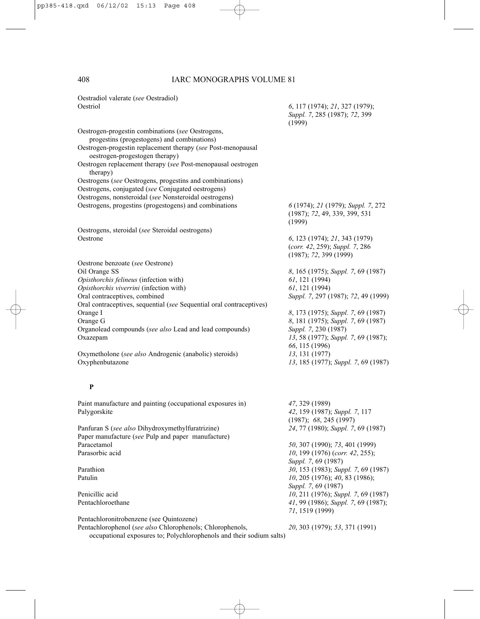| Oestradiol valerate (see Oestradiol)                                                           |                                                                                           |
|------------------------------------------------------------------------------------------------|-------------------------------------------------------------------------------------------|
| Oestriol                                                                                       | 6, 117 (1974); 21, 327 (1979);<br>Suppl. 7, 285 (1987); 72, 399<br>(1999)                 |
| Oestrogen-progestin combinations (see Oestrogens,                                              |                                                                                           |
| progestins (progestogens) and combinations)                                                    |                                                                                           |
| Oestrogen-progestin replacement therapy (see Post-menopausal<br>oestrogen-progestogen therapy) |                                                                                           |
| Oestrogen replacement therapy (see Post-menopausal oestrogen<br>therapy)                       |                                                                                           |
| Oestrogens (see Oestrogens, progestins and combinations)                                       |                                                                                           |
| Oestrogens, conjugated (see Conjugated oestrogens)                                             |                                                                                           |
| Oestrogens, nonsteroidal (see Nonsteroidal oestrogens)                                         |                                                                                           |
| Oestrogens, progestins (progestogens) and combinations                                         | 6 (1974); 21 (1979); Suppl. 7, 272<br>(1987); 72, 49, 339, 399, 531<br>(1999)             |
| Oestrogens, steroidal (see Steroidal oestrogens)                                               |                                                                                           |
| Oestrone                                                                                       | 6, 123 (1974); 21, 343 (1979)<br>(corr. 42, 259); Suppl. 7, 286<br>(1987); 72, 399 (1999) |
| Oestrone benzoate (see Oestrone)                                                               |                                                                                           |
| Oil Orange SS                                                                                  | 8, 165 (1975); Suppl. 7, 69 (1987)                                                        |
| Opisthorchis felineus (infection with)                                                         | $61, 121$ (1994)                                                                          |
| Opisthorchis viverrini (infection with)                                                        | 61, 121 (1994)                                                                            |
| Oral contraceptives, combined                                                                  | Suppl. 7, 297 (1987); 72, 49 (1999)                                                       |
| Oral contraceptives, sequential (see Sequential oral contraceptives)                           |                                                                                           |
| Orange I                                                                                       | 8, 173 (1975); Suppl. 7, 69 (1987)                                                        |
| Orange G                                                                                       | 8, 181 (1975); Suppl. 7, 69 (1987)                                                        |
| Organolead compounds (see also Lead and lead compounds)<br>Oxazepam                            | Suppl. 7, 230 (1987)<br>13, 58 (1977); Suppl. 7, 69 (1987);                               |
|                                                                                                | 66, 115 (1996)                                                                            |
| Oxymetholone (see also Androgenic (anabolic) steroids)                                         | 13, 131 (1977)                                                                            |
| Oxyphenbutazone                                                                                | 13, 185 (1977); Suppl. 7, 69 (1987)                                                       |
| P                                                                                              |                                                                                           |
| Paint manufacture and painting (occupational exposures in)                                     | 47, 329 (1989)                                                                            |
| Palygorskite                                                                                   | 42, 159 (1987); Suppl. 7, 117                                                             |
|                                                                                                | (1987); 68, 245 (1997)                                                                    |
| Panfuran S (see also Dihydroxymethylfuratrizine)                                               | 24, 77 (1980); Suppl. 7, 69 (1987)                                                        |
| Paper manufacture (see Pulp and paper manufacture)                                             |                                                                                           |
| Paracetamol                                                                                    | 50, 307 (1990); 73, 401 (1999)                                                            |
| Parasorbic acid                                                                                | 10, 199 (1976) (corr. 42, 255);<br>Suppl. 7, 69 (1987)                                    |
| Parathion                                                                                      | 30, 153 (1983); Suppl. 7, 69 (1987)                                                       |
| Patulin                                                                                        | 10, 205 (1976); 40, 83 (1986);                                                            |
|                                                                                                | Suppl. 7, 69 (1987)                                                                       |
| Penicillic acid<br>Pentachloroethane                                                           | 10, 211 (1976); Suppl. 7, 69 (1987)<br>41, 99 (1986); Suppl. 7, 69 (1987);                |
|                                                                                                | 71, 1519 (1999)                                                                           |
| Pentachloronitrobenzene (see Quintozene)                                                       |                                                                                           |
| Pentachlorophenol (see also Chlorophenols; Chlorophenols,                                      | 20, 303 (1979); 53, 371 (1991)                                                            |
| occupational exposures to; Polychlorophenols and their sodium salts)                           |                                                                                           |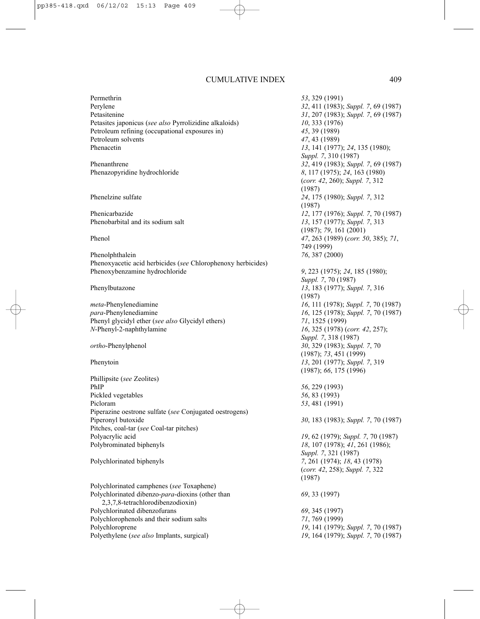Permethrin *53*, 329 (1991) Perylene *32*, 411 (1983); *Suppl. 7*, 69 (1987) Petasitenine *31*, 207 (1983); *Suppl. 7*, 69 (1987) Petasites japonicus (*see also* Pyrrolizidine alkaloids) *10*, 333 (1976) Petroleum refining (occupational exposures in) *45*, 39 (1989) Petroleum solvents *47*, 43 (1989) Phenacetin *13*, 141 (1977); *24*, 135 (1980);

Phenazopyridine hydrochloride *8*, 117 (1975); *24*, 163 (1980)

Phenobarbital and its sodium salt *13*, 157 (1977); *Suppl. 7*, 313

Phenolphthalein *76*, 387 (2000) Phenoxyacetic acid herbicides (*see* Chlorophenoxy herbicides) Phenoxybenzamine hydrochloride *9*, 223 (1975); *24*, 185 (1980);

*meta*-Phenylenediamine *16*, 111 (1978); *Suppl. 7*, 70 (1987) *para*-Phenylenediamine *16*, 125 (1978); *Suppl. 7*, 70 (1987) Phenyl glycidyl ether (*see also* Glycidyl ethers) *71*, 1525 (1999) *N*-Phenyl-2-naphthylamine *16*, 325 (1978) (*corr. 42*, 257);

Phillipsite (*see* Zeolites) PhIP *56*, 229 (1993) Pickled vegetables *56*, 83 (1993) Picloram *53*, 481 (1991) Piperazine oestrone sulfate (*see* Conjugated oestrogens) Piperonyl butoxide *30*, 183 (1983); *Suppl. 7*, 70 (1987) Pitches, coal-tar (*see* Coal-tar pitches) Polyacrylic acid *19*, 62 (1979); *Suppl. 7*, 70 (1987) Polybrominated biphenyls *18*, 107 (1978); *41*, 261 (1986);

Polychlorinated camphenes (*see* Toxaphene) Polychlorinated dibenzo-*para*-dioxins (other than *69*, 33 (1997) 2,3,7,8-tetrachlorodibenzodioxin) Polychlorinated dibenzofurans *69*, 345 (1997) Polychlorophenols and their sodium salts *71*, 769 (1999) Polychloroprene *19*, 141 (1979); *Suppl. 7*, 70 (1987) Polyethylene (*see also* Implants, surgical) *19*, 164 (1979); *Suppl. 7*, 70 (1987)

*Suppl. 7*, 310 (1987) Phenanthrene *32*, 419 (1983); *Suppl. 7*, 69 (1987) (*corr. 42*, 260); *Suppl. 7*, 312 (1987) Phenelzine sulfate *24*, 175 (1980); *Suppl. 7*, 312 (1987) Phenicarbazide *12*, 177 (1976); *Suppl. 7*, 70 (1987) (1987); *79*, 161 (2001) Phenol *47*, 263 (1989) (*corr. 50*, 385); *71*, 749 (1999) *Suppl. 7*, 70 (1987) Phenylbutazone *13*, 183 (1977); *Suppl. 7*, 316 (1987) *Suppl. 7*, 318 (1987) *ortho*-Phenylphenol *30*, 329 (1983); *Suppl. 7*, 70 (1987); *73*, 451 (1999) Phenytoin *13*, 201 (1977); *Suppl. 7*, 319 (1987); *66*, 175 (1996) *Suppl. 7*, 321 (1987) Polychlorinated biphenyls *7*, 261 (1974); *18*, 43 (1978) (*corr. 42*, 258); *Suppl. 7*, 322 (1987)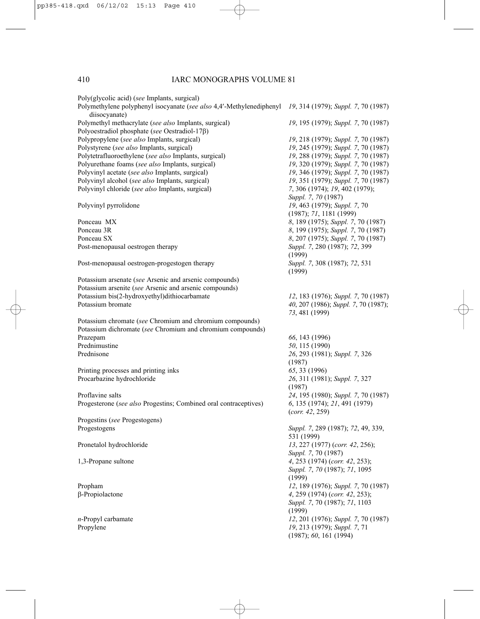| Poly(glycolic acid) (see Implants, surgical)<br>Polymethylene polyphenyl isocyanate (see also 4,4'-Methylenediphenyl 19, 314 (1979); Suppl. 7, 70 (1987) |                                                                       |
|----------------------------------------------------------------------------------------------------------------------------------------------------------|-----------------------------------------------------------------------|
| diisocyanate)                                                                                                                                            |                                                                       |
| Polymethyl methacrylate (see also Implants, surgical)<br>Polyoestradiol phosphate (see Oestradiol-17 $\beta$ )                                           | 19, 195 (1979); Suppl. 7, 70 (1987)                                   |
| Polypropylene (see also Implants, surgical)                                                                                                              | 19, 218 (1979); Suppl. 7, 70 (1987)                                   |
| Polystyrene (see also Implants, surgical)                                                                                                                | 19, 245 (1979); Suppl. 7, 70 (1987)                                   |
| Polytetrafluoroethylene (see also Implants, surgical)                                                                                                    | 19, 288 (1979); Suppl. 7, 70 (1987)                                   |
| Polyurethane foams (see also Implants, surgical)                                                                                                         | 19, 320 (1979); Suppl. 7, 70 (1987)                                   |
| Polyvinyl acetate (see also Implants, surgical)                                                                                                          | 19, 346 (1979); Suppl. 7, 70 (1987)                                   |
| Polyvinyl alcohol (see also Implants, surgical)                                                                                                          | 19, 351 (1979); Suppl. 7, 70 (1987)                                   |
| Polyvinyl chloride (see also Implants, surgical)                                                                                                         | 7, 306 (1974); 19, 402 (1979);<br>Suppl. 7, 70 (1987)                 |
| Polyvinyl pyrrolidone                                                                                                                                    | 19, 463 (1979); Suppl. 7, 70                                          |
|                                                                                                                                                          | (1987); 71, 1181 (1999)                                               |
| Ponceau MX                                                                                                                                               | 8, 189 (1975); Suppl. 7, 70 (1987)                                    |
| Ponceau 3R                                                                                                                                               | 8, 199 (1975); Suppl. 7, 70 (1987)                                    |
| Ponceau SX                                                                                                                                               | 8, 207 (1975); Suppl. 7, 70 (1987)                                    |
| Post-menopausal oestrogen therapy                                                                                                                        | Suppl. 7, 280 (1987); 72, 399<br>(1999)                               |
| Post-menopausal oestrogen-progestogen therapy                                                                                                            | Suppl. 7, 308 (1987); 72, 531                                         |
|                                                                                                                                                          | (1999)                                                                |
| Potassium arsenate (see Arsenic and arsenic compounds)                                                                                                   |                                                                       |
| Potassium arsenite (see Arsenic and arsenic compounds)                                                                                                   |                                                                       |
| Potassium bis(2-hydroxyethyl)dithiocarbamate                                                                                                             | 12, 183 (1976); Suppl. 7, 70 (1987)                                   |
| Potassium bromate                                                                                                                                        | 40, 207 (1986); Suppl. 7, 70 (1987);<br>73, 481 (1999)                |
|                                                                                                                                                          |                                                                       |
| Potassium chromate (see Chromium and chromium compounds)                                                                                                 |                                                                       |
| Potassium dichromate (see Chromium and chromium compounds)                                                                                               |                                                                       |
| Prazepam                                                                                                                                                 | 66, 143 (1996)                                                        |
| Prednimustine                                                                                                                                            | 50, 115 (1990)                                                        |
| Prednisone                                                                                                                                               | 26, 293 (1981); Suppl. 7, 326                                         |
|                                                                                                                                                          | (1987)                                                                |
| Printing processes and printing inks                                                                                                                     | 65, 33 (1996)                                                         |
| Procarbazine hydrochloride                                                                                                                               | 26, 311 (1981); Suppl. 7, 327                                         |
|                                                                                                                                                          | (1987)                                                                |
| Proflavine salts                                                                                                                                         | 24, 195 (1980); Suppl. 7, 70 (1987)                                   |
| Progesterone (see also Progestins; Combined oral contraceptives)                                                                                         | 6, 135 (1974); 21, 491 (1979)                                         |
|                                                                                                                                                          | (corr. 42, 259)                                                       |
| Progestins (see Progestogens)                                                                                                                            |                                                                       |
| Progestogens                                                                                                                                             | Suppl. 7, 289 (1987); 72, 49, 339,<br>531 (1999)                      |
|                                                                                                                                                          |                                                                       |
| Pronetalol hydrochloride                                                                                                                                 | 13, 227 (1977) (corr. 42, 256);                                       |
|                                                                                                                                                          | Suppl. 7, 70 (1987)                                                   |
| 1,3-Propane sultone                                                                                                                                      | 4, 253 (1974) (corr. 42, 253);                                        |
|                                                                                                                                                          | Suppl. 7, 70 (1987); 71, 1095<br>(1999)                               |
| Propham                                                                                                                                                  |                                                                       |
| $\beta$ -Propiolactone                                                                                                                                   | 12, 189 (1976); Suppl. 7, 70 (1987)<br>4, 259 (1974) (corr. 42, 253); |
|                                                                                                                                                          |                                                                       |
|                                                                                                                                                          | Suppl. 7, 70 (1987); 71, 1103<br>(1999)                               |
| $n$ -Propyl carbamate                                                                                                                                    | 12, 201 (1976); Suppl. 7, 70 (1987)                                   |
| Propylene                                                                                                                                                | 19, 213 (1979); Suppl. 7, 71                                          |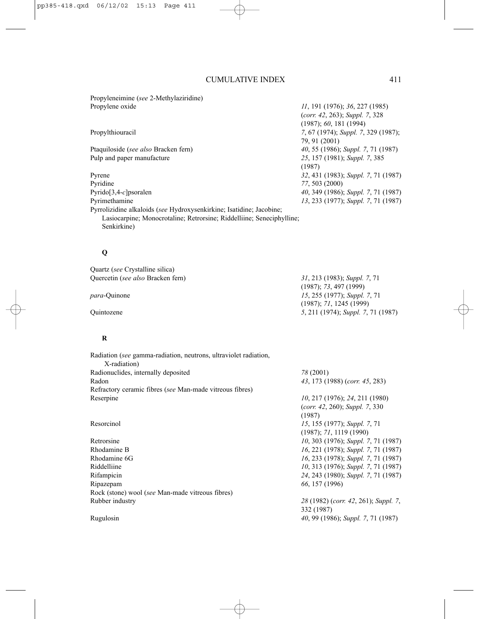Propyleneimine (*see* 2-Methylaziridine) Propylene oxide *11*, 191 (1976); *36*, 227 (1985)

Pulp and paper manufacture *25*, 157 (1981); *Suppl. 7*, 385

Pyrene *32*, 431 (1983); *Suppl. 7*, 71 (1987) Pyridine *77*, 503 (2000) Pyrido[3,4-*c*]psoralen *40*, 349 (1986); *Suppl. 7*, 71 (1987) Pyrimethamine *13*, 233 (1977); *Suppl. 7*, 71 (1987) Pyrrolizidine alkaloids (*see* Hydroxysenkirkine; Isatidine; Jacobine; Lasiocarpine; Monocrotaline; Retrorsine; Riddelliine; Seneciphylline; Senkirkine)

#### **Q**

Quartz (*see* Crystalline silica) Quercetin (*see also* Bracken fern) *31*, 213 (1983); *Suppl. 7*, 71

# **R**

| Radiation (see gamma-radiation, neutrons, ultraviolet radiation, |                                      |
|------------------------------------------------------------------|--------------------------------------|
| X-radiation)                                                     |                                      |
| Radionuclides, internally deposited                              | 78 (2001)                            |
| Radon                                                            | 43, 173 (1988) (corr. 45, 283)       |
| Refractory ceramic fibres (see Man-made vitreous fibres)         |                                      |
| Reserpine                                                        | 10, 217 (1976); 24, 211 (1980)       |
|                                                                  | (corr. 42, 260); Suppl. 7, 330       |
|                                                                  | (1987)                               |
| Resorcinol                                                       | 15, 155 (1977); Suppl. 7, 71         |
|                                                                  | $(1987)$ ; 71, 1119 (1990)           |
| Retrorsine                                                       | 10, 303 (1976); Suppl. 7, 71 (1987)  |
| Rhodamine B                                                      | 16, 221 (1978); Suppl. 7, 71 (1987)  |
| Rhodamine 6G                                                     | 16, 233 (1978); Suppl. 7, 71 (1987)  |
| Riddelliine                                                      | 10, 313 (1976); Suppl. 7, 71 (1987)  |
| Rifampicin                                                       | 24, 243 (1980); Suppl. 7, 71 (1987)  |
| Ripazepam                                                        | 66, 157 (1996)                       |
| Rock (stone) wool (see Man-made vitreous fibres)                 |                                      |
| Rubber industry                                                  | 28 (1982) (corr. 42, 261); Suppl. 7, |
|                                                                  | 332 (1987)                           |
| Rugulosin                                                        | 40, 99 (1986); Suppl. 7, 71 (1987)   |
|                                                                  |                                      |

(*corr. 42*, 263); *Suppl. 7*, 328 (1987); *60*, 181 (1994) Propylthiouracil *7*, 67 (1974); *Suppl. 7*, 329 (1987); 79, 91 (2001) Ptaquiloside (*see also* Bracken fern) *40*, 55 (1986); *Suppl. 7*, 71 (1987) (1987)

(1987); *73*, 497 (1999) *para*-Quinone *15*, 255 (1977); *Suppl. 7*, 71 (1987); *71*, 1245 (1999) Quintozene *5*, 211 (1974); *Suppl. 7*, 71 (1987)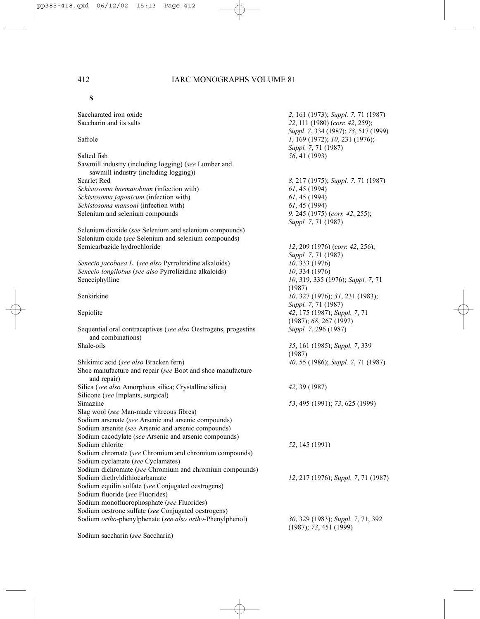**S**

| Saccharated iron oxide<br>Saccharin and its salts                                             | 2, 161 (1973); Suppl. 7, 71 (1987)<br>22, 111 (1980) (corr. 42, 259);                         |
|-----------------------------------------------------------------------------------------------|-----------------------------------------------------------------------------------------------|
| Safrole                                                                                       | Suppl. 7, 334 (1987); 73, 517 (1999)<br>1, 169 (1972); 10, 231 (1976);<br>Suppl. 7, 71 (1987) |
| Salted fish                                                                                   | 56, 41 (1993)                                                                                 |
| Sawmill industry (including logging) (see Lumber and<br>sawmill industry (including logging)) |                                                                                               |
| <b>Scarlet Red</b>                                                                            | 8, 217 (1975); Suppl. 7, 71 (1987)                                                            |
| Schistosoma haematobium (infection with)                                                      | 61, 45 (1994)                                                                                 |
| Schistosoma japonicum (infection with)                                                        | 61, 45 (1994)                                                                                 |
| Schistosoma mansoni (infection with)                                                          | 61, 45(1994)                                                                                  |
| Selenium and selenium compounds                                                               | 9, 245 (1975) (corr. 42, 255);<br>Suppl. 7, 71 (1987)                                         |
| Selenium dioxide (see Selenium and selenium compounds)                                        |                                                                                               |
| Selenium oxide (see Selenium and selenium compounds)                                          |                                                                                               |
| Semicarbazide hydrochloride                                                                   | $12, 209$ (1976) (corr. 42, 256);<br>Suppl. 7, 71 (1987)                                      |
| Senecio jacobaea L. (see also Pyrrolizidine alkaloids)                                        | 10, 333(1976)                                                                                 |
| Senecio longilobus (see also Pyrrolizidine alkaloids)                                         | 10, 334(1976)                                                                                 |
| Seneciphylline                                                                                | 10, 319, 335 (1976); Suppl. 7, 71<br>(1987)                                                   |
| Senkirkine                                                                                    | 10, 327 (1976); 31, 231 (1983);<br>Suppl. 7, 71 (1987)                                        |
| Sepiolite                                                                                     | 42, 175 (1987); Suppl. 7, 71<br>(1987); 68, 267 (1997)                                        |
| Sequential oral contraceptives (see also Oestrogens, progestins<br>and combinations)          | Suppl. 7, 296 (1987)                                                                          |
| Shale-oils                                                                                    | 35, 161 (1985); Suppl. 7, 339                                                                 |
|                                                                                               | (1987)                                                                                        |
| Shikimic acid (see also Bracken fern)                                                         | 40, 55 (1986); Suppl. 7, 71 (1987)                                                            |
| Shoe manufacture and repair (see Boot and shoe manufacture<br>and repair)                     |                                                                                               |
| Silica (see also Amorphous silica; Crystalline silica)                                        | 42, 39 (1987)                                                                                 |
| Silicone (see Implants, surgical)                                                             |                                                                                               |
| Simazine                                                                                      | 53, 495 (1991); 73, 625 (1999)                                                                |
| Slag wool (see Man-made vitreous fibres)                                                      |                                                                                               |
| Sodium arsenate (see Arsenic and arsenic compounds)                                           |                                                                                               |
| Sodium arsenite (see Arsenic and arsenic compounds)                                           |                                                                                               |
| Sodium cacodylate (see Arsenic and arsenic compounds)                                         |                                                                                               |
| Sodium chlorite                                                                               | 52, 145 (1991)                                                                                |
| Sodium chromate (see Chromium and chromium compounds)                                         |                                                                                               |
| Sodium cyclamate (see Cyclamates)                                                             |                                                                                               |
| Sodium dichromate (see Chromium and chromium compounds)                                       |                                                                                               |
| Sodium diethyldithiocarbamate                                                                 | 12, 217 (1976); Suppl. 7, 71 (1987)                                                           |
| Sodium equilin sulfate (see Conjugated oestrogens)                                            |                                                                                               |
| Sodium fluoride (see Fluorides)                                                               |                                                                                               |
| Sodium monofluorophosphate (see Fluorides)                                                    |                                                                                               |
| Sodium oestrone sulfate (see Conjugated oestrogens)                                           |                                                                                               |
| Sodium ortho-phenylphenate (see also ortho-Phenylphenol)                                      | 30, 329 (1983); Suppl. 7, 71, 392<br>(1987); 73, 451 (1999)                                   |

Sodium saccharin (*see* Saccharin)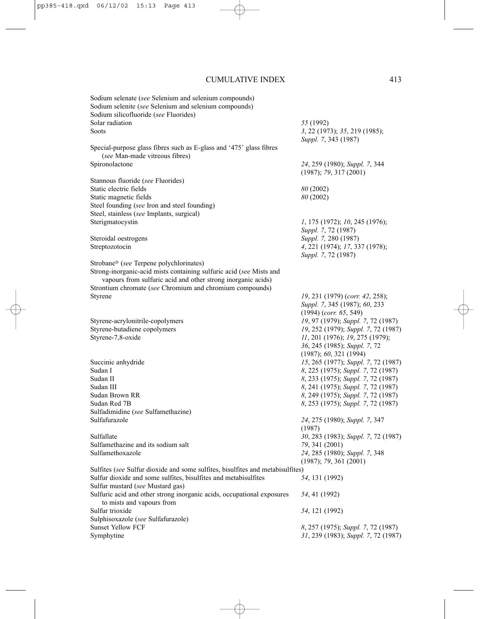| Sodium selenate (see Selenium and selenium compounds)                          |                                     |
|--------------------------------------------------------------------------------|-------------------------------------|
| Sodium selenite (see Selenium and selenium compounds)                          |                                     |
| Sodium silicofluoride (see Fluorides)                                          |                                     |
| Solar radiation                                                                | 55 (1992)                           |
| Soots                                                                          |                                     |
|                                                                                | 3, 22 (1973); 35, 219 (1985);       |
|                                                                                | Suppl. 7, 343 (1987)                |
| Special-purpose glass fibres such as E-glass and '475' glass fibres            |                                     |
| (see Man-made vitreous fibres)                                                 |                                     |
| Spironolactone                                                                 | 24, 259 (1980); Suppl. 7, 344       |
|                                                                                | (1987); 79, 317(2001)               |
| Stannous fluoride (see Fluorides)                                              |                                     |
| Static electric fields                                                         | 80 (2002)                           |
| Static magnetic fields                                                         | 80 (2002)                           |
| Steel founding (see Iron and steel founding)                                   |                                     |
|                                                                                |                                     |
| Steel, stainless (see Implants, surgical)                                      |                                     |
| Sterigmatocystin                                                               | $1, 175$ (1972); $10, 245$ (1976);  |
|                                                                                | Suppl. 7, 72 (1987)                 |
| Steroidal oestrogens                                                           | Suppl. 7, 280 (1987)                |
| Streptozotocin                                                                 | 4, 221 (1974); 17, 337 (1978);      |
|                                                                                | Suppl. 7, 72 (1987)                 |
| Strobane® (see Terpene polychlorinates)                                        |                                     |
|                                                                                |                                     |
| Strong-inorganic-acid mists containing sulfuric acid (see Mists and            |                                     |
| vapours from sulfuric acid and other strong inorganic acids)                   |                                     |
| Strontium chromate (see Chromium and chromium compounds)                       |                                     |
| Styrene                                                                        | 19, 231 (1979) (corr. 42, 258);     |
|                                                                                | Suppl. 7, 345 (1987); 60, 233       |
|                                                                                | $(1994)$ (corr. 65, 549)            |
| Styrene-acrylonitrile-copolymers                                               | 19, 97 (1979); Suppl. 7, 72 (1987)  |
| Styrene-butadiene copolymers                                                   | 19, 252 (1979); Suppl. 7, 72 (1987) |
|                                                                                |                                     |
| Styrene-7,8-oxide                                                              | 11, 201 (1976); 19, 275 (1979);     |
|                                                                                | 36, 245 (1985); Suppl. 7, 72        |
|                                                                                | (1987); 60, 321 (1994)              |
| Succinic anhydride                                                             | 15, 265 (1977); Suppl. 7, 72 (1987) |
| Sudan I                                                                        | 8, 225 (1975); Suppl. 7, 72 (1987)  |
| Sudan II                                                                       | 8, 233 (1975); Suppl. 7, 72 (1987)  |
| Sudan III                                                                      | 8, 241 (1975); Suppl. 7, 72 (1987)  |
| Sudan Brown RR                                                                 |                                     |
|                                                                                | 8, 249 (1975); Suppl. 7, 72 (1987)  |
| Sudan Red 7B                                                                   | 8, 253 (1975); Suppl. 7, 72 (1987)  |
| Sulfadimidine (see Sulfamethazine)                                             |                                     |
| Sulfafurazole                                                                  | 24, 275 (1980); Suppl. 7, 347       |
|                                                                                | (1987)                              |
| Sulfallate                                                                     | 30, 283 (1983); Suppl. 7, 72 (1987) |
| Sulfamethazine and its sodium salt                                             | 79, 341 (2001)                      |
| Sulfamethoxazole                                                               | 24, 285 (1980); Suppl. 7, 348       |
|                                                                                |                                     |
|                                                                                | (1987); 79, 361 (2001)              |
| Sulfites (see Sulfur dioxide and some sulfites, bisulfites and metabisulfites) |                                     |
| Sulfur dioxide and some sulfites, bisulfites and metabisulfites                | 54, 131 (1992)                      |
| Sulfur mustard (see Mustard gas)                                               |                                     |
| Sulfuric acid and other strong inorganic acids, occupational exposures         | 54, 41 (1992)                       |
| to mists and vapours from                                                      |                                     |
| Sulfur trioxide                                                                | 54, 121 (1992)                      |
|                                                                                |                                     |
| Sulphisoxazole (see Sulfafurazole)                                             |                                     |
| <b>Sunset Yellow FCF</b>                                                       | 8, 257 (1975); Suppl. 7, 72 (1987)  |
| Symphytine                                                                     | 31, 239 (1983); Suppl. 7, 72 (1987) |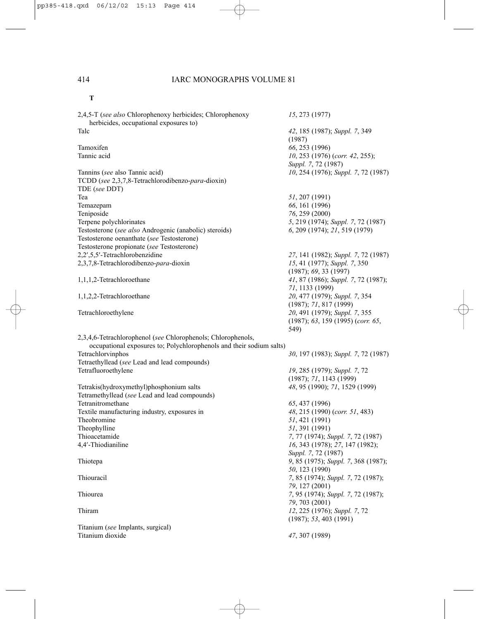# **T**

| 2,4,5-T (see also Chlorophenoxy herbicides; Chlorophenoxy<br>herbicides, occupational exposures to) | 15, 273 (1977)                          |
|-----------------------------------------------------------------------------------------------------|-----------------------------------------|
| Talc                                                                                                | 42, 185 (1987); Suppl. 7, 349<br>(1987) |
| Tamoxifen                                                                                           | 66, 253 (1996)                          |
| Tannic acid                                                                                         | 10, 253 (1976) (corr. 42, 255);         |
|                                                                                                     | Suppl. 7, 72 (1987)                     |
|                                                                                                     |                                         |
| Tannins (see also Tannic acid)                                                                      | 10, 254 (1976); Suppl. 7, 72 (1987)     |
| TCDD (see 2,3,7,8-Tetrachlorodibenzo-para-dioxin)                                                   |                                         |
| TDE (see DDT)                                                                                       |                                         |
| Tea                                                                                                 | 51, 207 (1991)                          |
| Temazepam                                                                                           | 66, 161 (1996)                          |
| Teniposide                                                                                          | 76, 259 (2000)                          |
| Terpene polychlorinates                                                                             | 5, 219 (1974); Suppl. 7, 72 (1987)      |
| Testosterone (see also Androgenic (anabolic) steroids)                                              | 6, 209 (1974); 21, 519 (1979)           |
| Testosterone oenanthate (see Testosterone)                                                          |                                         |
| Testosterone propionate (see Testosterone)                                                          |                                         |
| 2,2',5,5'-Tetrachlorobenzidine                                                                      | 27, 141 (1982); Suppl. 7, 72 (1987)     |
| 2,3,7,8-Tetrachlorodibenzo-para-dioxin                                                              | 15, 41 (1977); Suppl. 7, 350            |
|                                                                                                     | (1987); 69, 33(1997)                    |
| 1,1,1,2-Tetrachloroethane                                                                           | 41, 87 (1986); Suppl. 7, 72 (1987);     |
|                                                                                                     | 71, 1133 (1999)                         |
| 1,1,2,2-Tetrachloroethane                                                                           | 20, 477 (1979); Suppl. 7, 354           |
|                                                                                                     | (1987); 71, 817 (1999)                  |
| Tetrachloroethylene                                                                                 | 20, 491 (1979); Suppl. 7, 355           |
|                                                                                                     | (1987); 63, 159 (1995) (corr. 65,       |
|                                                                                                     | 549)                                    |
| 2,3,4,6-Tetrachlorophenol (see Chlorophenols; Chlorophenols,                                        |                                         |
| occupational exposures to; Polychlorophenols and their sodium salts)                                |                                         |
| Tetrachlorvinphos                                                                                   | 30, 197 (1983); Suppl. 7, 72 (1987)     |
| Tetraethyllead (see Lead and lead compounds)                                                        |                                         |
| Tetrafluoroethylene                                                                                 | 19, 285 (1979); Suppl. 7, 72            |
|                                                                                                     | (1987); 71, 1143 (1999)                 |
|                                                                                                     |                                         |
| Tetrakis(hydroxymethyl)phosphonium salts                                                            | 48, 95 (1990); 71, 1529 (1999)          |
| Tetramethyllead (see Lead and lead compounds)                                                       |                                         |
| Tetranitromethane                                                                                   | 65, 437 (1996)                          |
| Textile manufacturing industry, exposures in                                                        | 48, 215 (1990) (corr. 51, 483)          |
| Theobromine                                                                                         | 51, 421 (1991)                          |
| Theophylline                                                                                        | 51, 391 (1991)                          |
| Thioacetamide                                                                                       | 7, 77 (1974); Suppl. 7, 72 (1987)       |
| 4,4'-Thiodianiline                                                                                  | 16, 343 (1978); 27, 147 (1982);         |
|                                                                                                     | <i>Suppl.</i> 7, 72 (1987)              |
| Thiotepa                                                                                            | 9, 85 (1975); Suppl. 7, 368 (1987);     |
|                                                                                                     | 50, 123 (1990)                          |
| Thiouracil                                                                                          | 7, 85 (1974); Suppl. 7, 72 (1987);      |
|                                                                                                     | 79, 127 (2001)                          |
| Thiourea                                                                                            | 7, 95 (1974); Suppl. 7, 72 (1987);      |
|                                                                                                     | 79, 703 (2001)                          |
| Thiram                                                                                              | 12, 225 (1976); Suppl. 7, 72            |
|                                                                                                     | (1987); 53, 403 (1991)                  |
| Titanium (see Implants, surgical)                                                                   |                                         |
| Titanium dioxide                                                                                    | 47, 307 (1989)                          |
|                                                                                                     |                                         |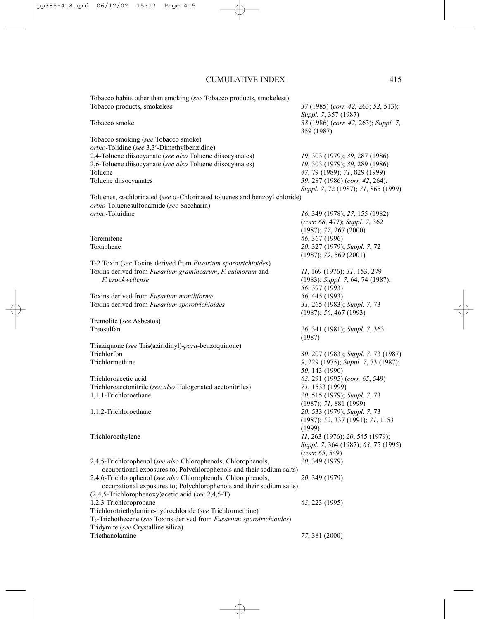Tobacco habits other than smoking (*see* Tobacco products, smokeless) Tobacco products, smokeless *37* (1985) (*corr. 42*, 263; *52*, 513); *Suppl. 7*, 357 (1987) Tobacco smoke *38* (1986) (*corr. 42*, 263); *Suppl. 7*, 359 (1987) Tobacco smoking (*see* Tobacco smoke) *ortho*-Tolidine (*see* 3,3′-Dimethylbenzidine) 2,4-Toluene diisocyanate (*see also* Toluene diisocyanates) *19*, 303 (1979); *39*, 287 (1986) 2,6-Toluene diisocyanate (*see also* Toluene diisocyanates) *19*, 303 (1979); *39*, 289 (1986) Toluene *47*, 79 (1989); *71*, 829 (1999) Toluene diisocyanates *39*, 287 (1986) (*corr. 42*, 264); *Suppl. 7*, 72 (1987); *71*, 865 (1999) Toluenes, α-chlorinated (*see* α-Chlorinated toluenes and benzoyl chloride) *ortho*-Toluenesulfonamide (*see* Saccharin) *ortho*-Toluidine *16*, 349 (1978); *27*, 155 (1982) (*corr. 68*, 477); *Suppl. 7*, 362 (1987); *77*, 267 (2000) Toremifene *66*, 367 (1996) Toxaphene *20*, 327 (1979); *Suppl. 7*, 72 (1987); *79*, 569 (2001) T-2 Toxin (*see* Toxins derived from *Fusarium sporotrichioides*) Toxins derived from *Fusarium graminearum*, *F. culmorum* and *11*, 169 (1976); *31*, 153, 279 *F. crookwellense* (1983); *Suppl. 7*, 64, 74 (1987); *56*, 397 (1993) Toxins derived from *Fusarium moniliforme 56*, 445 (1993) Toxins derived from *Fusarium sporotrichioides 31*, 265 (1983); *Suppl. 7*, 73 (1987); *56*, 467 (1993) Tremolite (*see* Asbestos) Treosulfan *26*, 341 (1981); *Suppl. 7*, 363 (1987) Triaziquone (*see* Tris(aziridinyl)-*para*-benzoquinone) Trichlorfon *30*, 207 (1983); *Suppl. 7*, 73 (1987) Trichlormethine *9*, 229 (1975); *Suppl. 7*, 73 (1987); *50*, 143 (1990) Trichloroacetic acid *63*, 291 (1995) (*corr. 65*, 549) Trichloroacetonitrile (*see also* Halogenated acetonitriles) *71*, 1533 (1999) 1,1,1-Trichloroethane *20*, 515 (1979); *Suppl. 7*, 73 (1987); *71*, 881 (1999) 1,1,2-Trichloroethane *20*, 533 (1979); *Suppl. 7*, 73 (1987); *52*, 337 (1991); *71*, 1153 (1999) Trichloroethylene *11*, 263 (1976); *20*, 545 (1979); *Suppl. 7*, 364 (1987); *63*, 75 (1995) (*corr. 65*, 549) 2,4,5-Trichlorophenol (*see also* Chlorophenols; Chlorophenols, *20*, 349 (1979) occupational exposures to; Polychlorophenols and their sodium salts) 2,4,6-Trichlorophenol (*see also* Chlorophenols; Chlorophenols, *20*, 349 (1979) occupational exposures to; Polychlorophenols and their sodium salts) (2,4,5-Trichlorophenoxy)acetic acid (*see* 2,4,5-T) 1,2,3-Trichloropropane *63*, 223 (1995) Trichlorotriethylamine-hydrochloride (*see* Trichlormethine) T2-Trichothecene (*see* Toxins derived from *Fusarium sporotrichioides*) Tridymite (*see* Crystalline silica) Triethanolamine *77*, 381 (2000)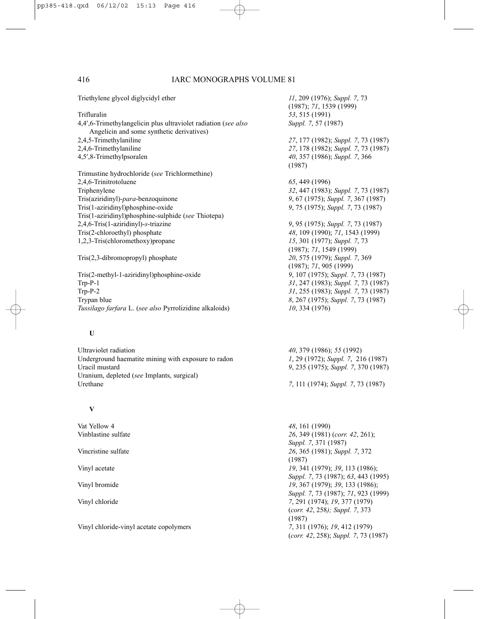| Triethylene glycol diglycidyl ether                                                                         | 11, 209 (1976); Suppl. 7, 73<br>(1987); 71, 1539 (1999) |
|-------------------------------------------------------------------------------------------------------------|---------------------------------------------------------|
| Trifluralin                                                                                                 | 53, 515 (1991)                                          |
| 4,4',6-Trimethylangelicin plus ultraviolet radiation (see also<br>Angelicin and some synthetic derivatives) | Suppl. 7, 57 (1987)                                     |
| 2,4,5-Trimethylaniline                                                                                      | 27, 177 (1982); Suppl. 7, 73 (1987)                     |
| 2,4,6-Trimethylaniline                                                                                      | 27, 178 (1982); Suppl. 7, 73 (1987)                     |
| 4,5',8-Trimethylpsoralen                                                                                    | 40, 357 (1986); Suppl. 7, 366<br>(1987)                 |
| Trimustine hydrochloride (see Trichlormethine)                                                              |                                                         |
| 2,4,6-Trinitrotoluene                                                                                       | 65, 449 (1996)                                          |
| Triphenylene                                                                                                | 32, 447 (1983); Suppl. 7, 73 (1987)                     |
| Tris(aziridinyl)-para-benzoquinone                                                                          | 9, 67 (1975); Suppl. 7, 367 (1987)                      |
| Tris(1-aziridinyl)phosphine-oxide                                                                           | 9, 75 (1975); Suppl. 7, 73 (1987)                       |
| Tris(1-aziridinyl)phosphine-sulphide (see Thiotepa)                                                         |                                                         |
| 2,4,6-Tris(1-aziridinyl)-s-triazine                                                                         | 9, 95 (1975); Suppl. 7, 73 (1987)                       |
| Tris(2-chloroethyl) phosphate                                                                               | 48, 109 (1990); 71, 1543 (1999)                         |
| 1,2,3-Tris(chloromethoxy) propane                                                                           | 15, 301 (1977); Suppl. 7, 73                            |
|                                                                                                             | (1987); 71, 1549 (1999)                                 |
| $Tris(2,3$ -dibromopropyl) phosphate                                                                        | 20, 575 (1979); Suppl. 7, 369                           |
|                                                                                                             | $(1987)$ ; 71, 905 (1999)                               |
| Tris(2-methyl-1-aziridinyl)phosphine-oxide                                                                  | 9, 107 (1975); Suppl. 7, 73 (1987)                      |
| $Trp-P-1$                                                                                                   | 31, 247 (1983); Suppl. 7, 73 (1987)                     |
| $Trp-P-2$                                                                                                   | 31, 255 (1983); Suppl. 7, 73 (1987)                     |
| Trypan blue                                                                                                 | 8, 267 (1975); Suppl. 7, 73 (1987)                      |
| Tussilago farfara L. (see also Pyrrolizidine alkaloids)                                                     | 10, 334 (1976)                                          |
| U                                                                                                           |                                                         |

Ultraviolet radiation *40*, 379 (1986); *55* (1992) Underground haematite mining with exposure to radon *1*, 29 (1972); *Suppl. 7*, 216 (1987) Uracil mustard *9*, 235 (1975); *Suppl. 7*, 370 (1987) Uranium, depleted (*see* Implants, surgical) Urethane *7*, 111 (1974); *Suppl. 7*, 73 (1987)

#### **V**

Vat Yellow 4 *48*, 161 (1990)

Vinyl chloride-vinyl acetate copolymers *7*, 311 (1976); *19*, 412 (1979)

Vinblastine sulfate *26*, 349 (1981) (*corr. 42*, 261); *Suppl. 7*, 371 (1987) Vincristine sulfate *26*, 365 (1981); *Suppl. 7*, 372 (1987) Vinyl acetate *19*, 341 (1979); *39*, 113 (1986); *Suppl. 7*, 73 (1987); *63*, 443 (1995) Vinyl bromide *19*, 367 (1979); *39*, 133 (1986); *Suppl. 7*, 73 (1987); *71*, 923 (1999) Vinyl chloride *7*, 291 (1974); *19*, 377 (1979) (*corr. 42*, 258*); Suppl. 7*, 373 (1987) (*corr. 42*, 258); *Suppl. 7*, 73 (1987)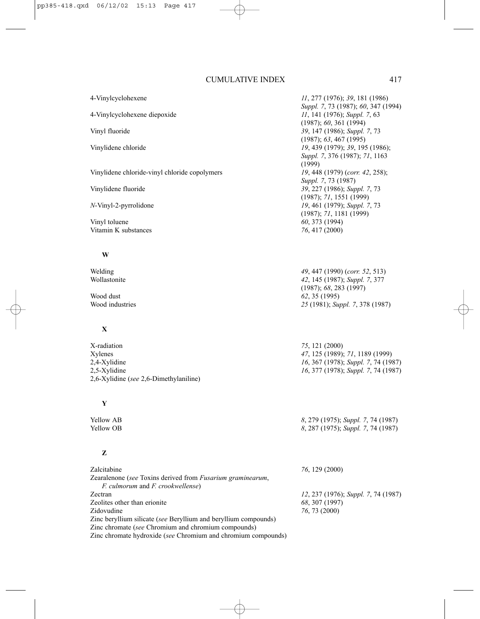4-Vinylcyclohexene *11*, 277 (1976); *39*, 181 (1986)

4-Vinylcyclohexene diepoxide *11*, 141 (1976); *Suppl. 7*, 63

Vinyl fluoride *39*, 147 (1986); *Suppl. 7*, 73

Vinylidene chloride *19*, 439 (1979); *39*, 195 (1986);

Vinylidene chloride-vinyl chloride copolymers *19*, 448 (1979) (*corr. 42*, 258);

Vinylidene fluoride *39*, 227 (1986); *Suppl. 7*, 73

*N*-Vinyl-2-pyrrolidone *19*, 461 (1979); *Suppl. 7*, 73

Vinyl toluene *60*, 373 (1994)<br>Vitamin K substances *60*, 373 (1994) Vitamin K substances

#### **W**

# **X**

X-radiation *75*, 121 (2000)<br> *75*, 121 (2000)<br> *47*, 125 (1989) 2,4-Xylidine *16*, 367 (1978); *Suppl. 7*, 74 (1987) 2,5-Xylidine *16*, 377 (1978); *Suppl. 7*, 74 (1987) 2,6-Xylidine (*see* 2,6-Dimethylaniline)

### **Y**

## **Z**

| Zalcitabine                                                        | 76, 129 (2000)                      |
|--------------------------------------------------------------------|-------------------------------------|
| Zearalenone (see Toxins derived from <i>Fusarium graminearum</i> , |                                     |
| <i>F. culmorum</i> and <i>F. crookwellense</i> )                   |                                     |
| Zectran                                                            | 12, 237 (1976); Suppl. 7, 74 (1987) |
| Zeolites other than erionite                                       | 68, 307 (1997)                      |
| Zidovudine                                                         | 76, 73 (2000)                       |
| Zinc beryllium silicate (see Beryllium and beryllium compounds)    |                                     |
| Zinc chromate (see Chromium and chromium compounds)                |                                     |
| Zinc chromate hydroxide (see Chromium and chromium compounds)      |                                     |

Welding *49*, 447 (1990) (*corr. 52*, 513) Wollastonite *42*, 145 (1987); *Suppl. 7*, 377 (1987); *68*, 283 (1997) Wood dust *62*, 35 (1995) Wood industries *25* (1981); *Suppl. 7*, 378 (1987)

*Suppl. 7*, 73 (1987); *60*, 347 (1994)

(1987); *60*, 361 (1994)

(1987); *63*, 467 (1995)

*Suppl. 7*, 73 (1987)

(1987); *71*, 1551 (1999)

(1987); *71*, 1181 (1999)

(1999)

*Suppl. 7*, 376 (1987); *71*, 1163

Xylenes *47*, 125 (1989); *71*, 1189 (1999)

Yellow AB *8*, 279 (1975); *Suppl. 7*, 74 (1987) Yellow OB *8*, 287 (1975); *Suppl. 7*, 74 (1987)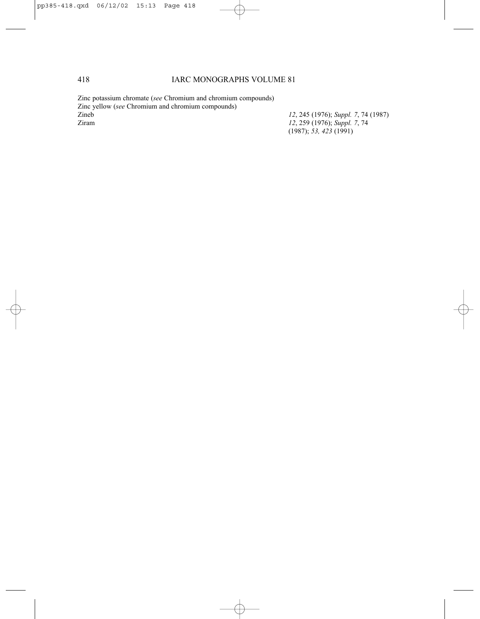Zinc potassium chromate (*see* Chromium and chromium compounds) Zinc yellow (*see* Chromium and chromium compounds) Zineb *12*, 245 (1976); *Suppl. 7*, 74 (1987) Ziram *12*, 259 (1976); *Suppl. 7*, 74

(1987); *53, 423* (1991)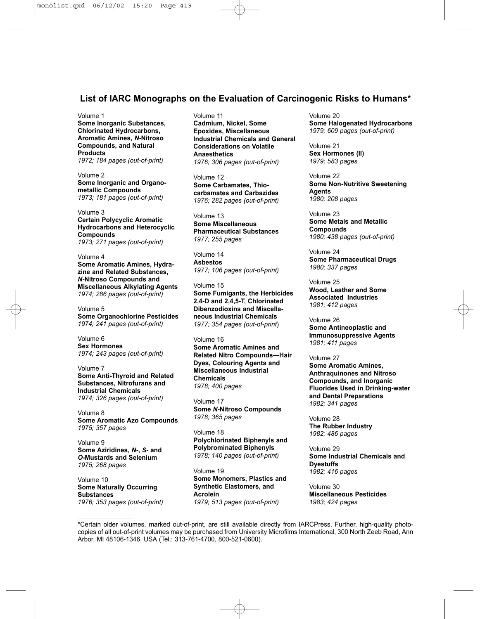# **List of IARC Monographs on the Evaluation of Carcinogenic Risks to Humans\***

#### Volume 1

**Some Inorganic Substances, Chlorinated Hydrocarbons, Aromatic Amines,** *N***-Nitroso Compounds, and Natural Products** *1972; 184 pages (out-of-print)*

Volume 2 **Some Inorganic and Organometallic Compounds** *1973; 181 pages (out-of-print)*

Volume 3 **Certain Polycyclic Aromatic Hydrocarbons and Heterocyclic Compounds** *1973; 271 pages (out-of-print)*

Volume 4 **Some Aromatic Amines, Hydrazine and Related Substances,** *N***-Nitroso Compounds and Miscellaneous Alkylating Agents** *1974; 286 pages (out-of-print)*

Volume 5 **Some Organochlorine Pesticides** *1974; 241 pages (out-of-print)*

Volume 6 **Sex Hormones** *1974; 243 pages (out-of-print)*

Volume 7 **Some Anti-Thyroid and Related Substances, Nitrofurans and Industrial Chemicals** *1974; 326 pages (out-of-print)*

Volume 8 **Some Aromatic Azo Compounds** *1975; 357 pages*

Volume 9 **Some Aziridines,** *N***-,** *S***- and** *O***-Mustards and Selenium** *1975; 268 pages*

Volume 10 **Some Naturally Occurring Substances** *1976; 353 pages (out-of-print)* Volume 11 **Cadmium, Nickel, Some Epoxides, Miscellaneous Industrial Chemicals and General Considerations on Volatile Anaesthetics** *1976; 306 pages (out-of-print)*

Volume 12 **Some Carbamates, Thiocarbamates and Carbazides** *1976; 282 pages (out-of-print)*

Volume 13 **Some Miscellaneous Pharmaceutical Substances** *1977; 255 pages*

Volume 14 **Asbestos** *1977; 106 pages (out-of-print)*

Volume 15 **Some Fumigants, the Herbicides 2,4-D and 2,4,5-T, Chlorinated Dibenzodioxins and Miscellaneous Industrial Chemicals** *1977; 354 pages (out-of-print*)

Volume 16 **Some Aromatic Amines and Related Nitro Compounds—Hair Dyes, Colouring Agents and Miscellaneous Industrial Chemicals** *1978; 400 pages*

Volume 17 **Some** *N***-Nitroso Compounds** *1978; 365 pages*

Volume 18 **Polychlorinated Biphenyls and Polybrominated Biphenyls** *1978; 140 pages (out-of-print)*

Volume 19 **Some Monomers, Plastics and Synthetic Elastomers, and Acrolein** *1979; 513 pages (out-of-print)*

Volume 20 **Some Halogenated Hydrocarbons** *1979; 609 pages (out-of-print)*

Volume 21 **Sex Hormones (II)** *1979; 583 pages*

Volume 22 **Some Non-Nutritive Sweetening Agents** *1980; 208 pages*

Volume 23 **Some Metals and Metallic Compounds** *1980; 438 pages (out-of-print)*

Volume 24 **Some Pharmaceutical Drugs** *1980; 337 pages*

Volume 25 **Wood, Leather and Some Associated Industries** *1981; 412 pages*

Volume 26 **Some Antineoplastic and Immunosuppressive Agents** *1981; 411 pages*

Volume 27

**Some Aromatic Amines, Anthraquinones and Nitroso Compounds, and Inorganic Fluorides Used in Drinking-water and Dental Preparations** *1982; 341 pages*

Volume 28 **The Rubber Industry** *1982; 486 pages*

Volume 29 **Some Industrial Chemicals and Dyestuffs** *1982; 416 pages*

Volume 30 **Miscellaneous Pesticides** *1983; 424 pages*

\*Certain older volumes, marked out-of-print, are still available directly from IARCPress. Further, high-quality photocopies of all out-of-print volumes may be purchased from University Microfilms International, 300 North Zeeb Road, Ann Arbor, MI 48106-1346, USA (Tel.: 313-761-4700, 800-521-0600).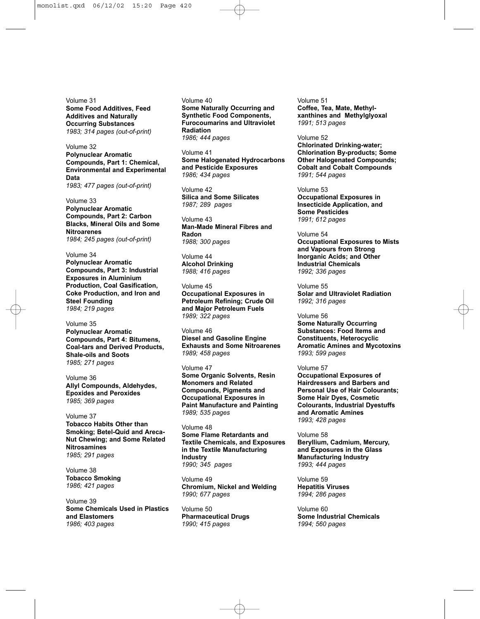Volume 31 **Some Food Additives, Feed Additives and Naturally Occurring Substances** *1983; 314 pages (out-of-print)*

#### Volume 32

**Polynuclear Aromatic Compounds, Part 1: Chemical, Environmental and Experimental Data** *1983; 477 pages (out-of-print)*

Volume 33 **Polynuclear Aromatic Compounds, Part 2: Carbon Blacks, Mineral Oils and Some Nitroarenes** *1984; 245 pages (out-of-print)*

Volume 34

**Polynuclear Aromatic Compounds, Part 3: Industrial Exposures in Aluminium Production, Coal Gasification, Coke Production, and Iron and Steel Founding** *1984; 219 pages*

Volume 35 **Polynuclear Aromatic Compounds, Part 4: Bitumens, Coal-tars and Derived Products, Shale-oils and Soots** *1985; 271 pages*

Volume 36 **Allyl Compounds, Aldehydes, Epoxides and Peroxides**  *1985; 369 pages*

Volume 37 **Tobacco Habits Other than Smoking; Betel-Quid and Areca-Nut Chewing; and Some Related Nitrosamines** *1985; 291 pages*

Volume 38 **Tobacco Smoking** *1986; 421 pages*

Volume 39 **Some Chemicals Used in Plastics and Elastomers** *1986; 403 pages*

Volume 40 **Some Naturally Occurring and Synthetic Food Components, Furocoumarins and Ultraviolet Radiation** *1986; 444 pages*

Volume 41 **Some Halogenated Hydrocarbons and Pesticide Exposures** *1986; 434 pages*

Volume 42 **Silica and Some Silicates** *1987; 289 pages*

Volume 43 **Man-Made Mineral Fibres and Radon** *1988; 300 pages*

Volume 44 **Alcohol Drinking** *1988; 416 pages*

Volume 45 **Occupational Exposures in Petroleum Refining; Crude Oil and Major Petroleum Fuels** *1989; 322 pages*

Volume 46 **Diesel and Gasoline Engine Exhausts and Some Nitroarenes** *1989; 458 pages*

Volume 47 **Some Organic Solvents, Resin Monomers and Related Compounds, Pigments and Occupational Exposures in Paint Manufacture and Painting** *1989; 535 pages*

Volume 48 **Some Flame Retardants and Textile Chemicals, and Exposures in the Textile Manufacturing Industry** *1990; 345 pages*

Volume 49 **Chromium, Nickel and Welding** *1990; 677 pages*

Volume 50 **Pharmaceutical Drugs** *1990; 415 pages*

Volume 51 **Coffee, Tea, Mate, Methylxanthines and Methylglyoxal** *1991; 513 pages*

Volume 52

**Chlorinated Drinking-water; Chlorination By-products; Some Other Halogenated Compounds; Cobalt and Cobalt Compounds** *1991; 544 pages*

Volume 53 **Occupational Exposures in Insecticide Application, and Some Pesticides** *1991; 612 pages*

Volume 54 **Occupational Exposures to Mists and Vapours from Strong Inorganic Acids; and Other Industrial Chemicals** *1992; 336 pages*

Volume 55 **Solar and Ultraviolet Radiation** *1992; 316 pages*

Volume 56 **Some Naturally Occurring Substances: Food Items and Constituents, Heterocyclic Aromatic Amines and Mycotoxins** *1993; 599 pages*

#### Volume 57

**Occupational Exposures of Hairdressers and Barbers and Personal Use of Hair Colourants; Some Hair Dyes, Cosmetic Colourants, Industrial Dyestuffs and Aromatic Amines** *1993; 428 pages*

Volume 58

**Beryllium, Cadmium, Mercury, and Exposures in the Glass Manufacturing Industry** *1993; 444 pages*

Volume 59 **Hepatitis Viruses** *1994; 286 pages*

Volume 60 **Some Industrial Chemicals** *1994; 560 pages*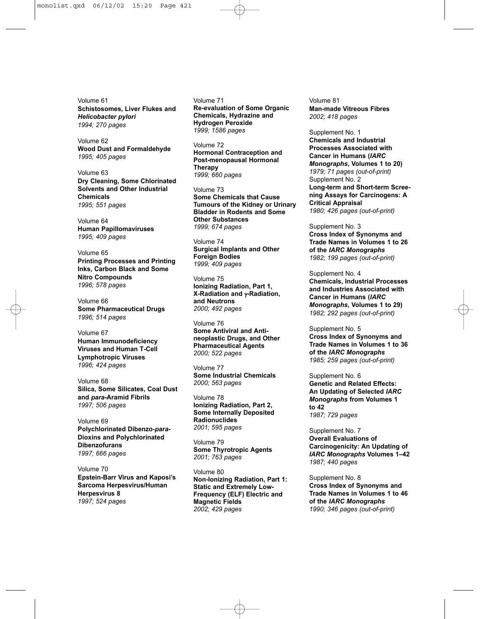Volume 61 **Schistosomes, Liver Flukes and** *Helicobacter pylori 1994; 270 pages*

Volume 62 **Wood Dust and Formaldehyde** *1995; 405 pages*

Volume 63 **Dry Cleaning, Some Chlorinated Solvents and Other Industrial Chemicals** *1995; 551 pages*

Volume 64 **Human Papillomaviruses** *1995; 409 pages*

Volume 65 **Printing Processes and Printing Inks, Carbon Black and Some Nitro Compounds** *1996; 578 pages*

Volume 66 **Some Pharmaceutical Drugs** *1996; 514 pages*

Volume 67 **Human Immunodeficiency Viruses and Human T-Cell Lymphotropic Viruses** *1996; 424 pages*

Volume 68 **Silica, Some Silicates, Coal Dust and** *para***-Aramid Fibrils** *1997; 506 pages*

Volume 69 **Polychlorinated Dibenzo-***para***-Dioxins and Polychlorinated Dibenzofurans** *1997; 666 pages*

Volume 70 **Epstein-Barr Virus and Kaposi's Sarcoma Herpesvirus/Human Herpesvirus 8** *1997; 524 pages*

Volume 71 **Re-evaluation of Some Organic Chemicals, Hydrazine and Hydrogen Peroxide** *1999; 1586 pages*

Volume 72 **Hormonal Contraception and Post-menopausal Hormonal Therapy** *1999; 660 pages*

Volume 73 **Some Chemicals that Cause Tumours of the Kidney or Urinary Bladder in Rodents and Some Other Substances** *1999; 674 pages*

Volume 74 **Surgical Implants and Other Foreign Bodies** *1999; 409 pages*

Volume 75 **Ionizing Radiation, Part 1, X-Radiation and** γ**-Radiation, and Neutrons** *2000; 492 pages*

Volume 76 **Some Antiviral and Antineoplastic Drugs, and Other Pharmaceutical Agents** *2000; 522 pages*

Volume 77 **Some Industrial Chemicals** *2000; 563 pages*

Volume 78 **Ionizing Radiation, Part 2, Some Internally Deposited Radionuclides** *2001; 595 pages*

Volume 79 **Some Thyrotropic Agents** *2001; 763 pages*

Volume 80 **Non-Ionizing Radiation, Part 1: Static and Extremely Low-Frequency (ELF) Electric and Magnetic Fields** *2002; 429 pages*

Volume 81 **Man-made Vitreous Fibres** *2002; 418 pages*

Supplement No. 1 **Chemicals and Industrial Processes Associated with Cancer in Humans (***IARC Monographs***, Volumes 1 to 20)** *1979; 71 pages (out-of-print)* Supplement No. 2 **Long-term and Short-term Screening Assays for Carcinogens: A Critical Appraisal** *1980; 426 pages (out-of-print)*

Supplement No. 3 **Cross Index of Synonyms and Trade Names in Volumes 1 to 26 of the** *IARC Monographs 1982; 199 pages (out-of-print)*

Supplement No. 4 **Chemicals, Industrial Processes and Industries Associated with Cancer in Humans (***IARC Monographs***, Volumes 1 to 29)** *1982; 292 pages (out-of-print)*

Supplement No. 5 **Cross Index of Synonyms and Trade Names in Volumes 1 to 36 of the** *IARC Monographs 1985; 259 pages (out-of-print)*

Supplement No. 6 **Genetic and Related Effects: An Updating of Selected** *IARC Monographs* **from Volumes 1 to 42** *1987; 729 pages* 

Supplement No. 7 **Overall Evaluations of Carcinogenicity: An Updating of** *IARC Monographs* **Volumes 1–42** *1987; 440 pages*

Supplement No. 8 **Cross Index of Synonyms and Trade Names in Volumes 1 to 46 of the** *IARC Monographs 1990; 346 pages (out-of-print)*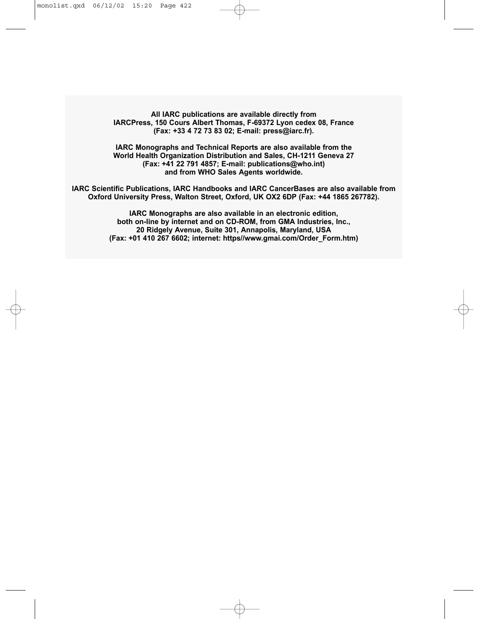**All IARC publications are available directly from IARCPress, 150 Cours Albert Thomas, F-69372 Lyon cedex 08, France (Fax: +33 4 72 73 83 02; E-mail: press@iarc.fr).**

**IARC Monographs and Technical Reports are also available from the World Health Organization Distribution and Sales, CH-1211 Geneva 27 (Fax: +41 22 791 4857; E-mail: publications@who.int) and from WHO Sales Agents worldwide.**

**IARC Scientific Publications, IARC Handbooks and IARC CancerBases are also available from Oxford University Press, Walton Street, Oxford, UK OX2 6DP (Fax: +44 1865 267782).**

> **IARC Monographs are also available in an electronic edition, both on-line by internet and on CD-ROM, from GMA Industries, Inc., 20 Ridgely Avenue, Suite 301, Annapolis, Maryland, USA (Fax: +01 410 267 6602; internet: https//www.gmai.com/Order\_Form.htm)**